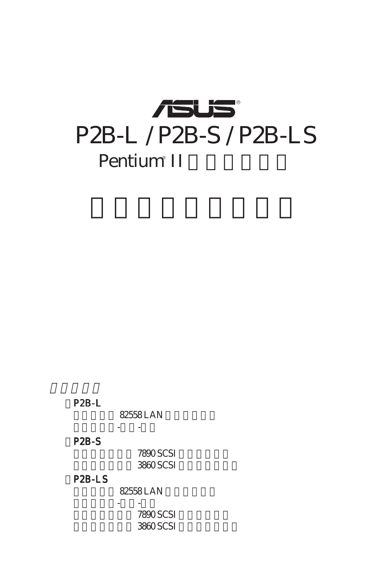

#### P2B-L

82558 LAN

#### P2B-S

| 7890 SCSI |
|-----------|
| 3860 SCSI |

・ ウェイク-オン-ラン

#### P2B-LS

82558 LAN

・ ウェイク-オン-ラン 7890 SCSI 3860 SCSI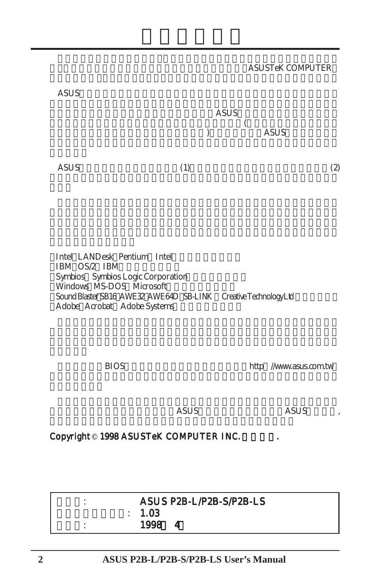

Intel LANDesk Pentium Intel IBM OS/2 IBM Symbios Symbios Logic Corporation Windows MS-DOS Microsoft Sound Blaster SB16 AWE32 AWE64D SB-LINK Creative Technology Ltd Adobe Acrobat Adobe Systems

RIOS http://www.asus.com.tw

改変する場合もありますが、改変はASUSの責務ではありません。ASUSは、製品,

#### Copyright © 1998 ASUSTeK COMPUTER INC.

| ASUS P2B-L/P2B-S/P2B-LS |
|-------------------------|
| : 1.03                  |
| 1998                    |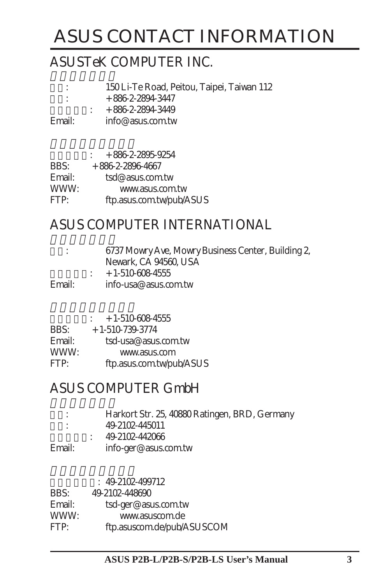# ASUS CONTACT INFORMATION

### ASUSTeK COMPUTER INC.

|   | 150Li-Te Road, Peitou, Taipei, Taiwan 112 |
|---|-------------------------------------------|
| ٠ | +8862-2894-3447                           |
|   | + 886 2-2894 3449                         |

Email: info@asus.com.tw

 $\div$  +886-2-2895-9254

| BBS:   | $+886228964667$          |
|--------|--------------------------|
| Email: | tsd@ asus.com.tw         |
| WWW:   | www.asus.com.tw          |
| FTP:   | ftp.asus.com.tw/pub/ASUS |
|        |                          |

### ASUS COMPUTER INTERNATIONAL

| $\mathbb{Z}^{\mathbb{Z}}$ | 6737 Mowry Ave, Mowry Business Center, Building 2, |
|---------------------------|----------------------------------------------------|
|                           | Newark, CA 94560, USA                              |
|                           | +1-510-608-4555                                    |
| Email:                    | info-usa@ asus.com.tw                              |

| $+1.5106084555$          |
|--------------------------|
| $+1-5107393774$          |
| tsd-usa@ asus.com.tw     |
| www.asus.com             |
| ftp.asus.com.tw/pub/ASUS |
|                          |

### ASUS COMPUTER GmbH

| ÷      | Harkort Str. 25, 40880 Ratingen, BRD, Germany |
|--------|-----------------------------------------------|
|        |                                               |
| ÷      | 49-2102-445011                                |
|        | 49 2102 442066                                |
| Email: | info-ger@ asus.com.tw                         |
|        |                                               |

| $: 49.2102 - 499712$       |
|----------------------------|
| 49 2102 448690             |
| tsd-ger@ asus.com.tw       |
| www.asuscom.de             |
| ftp.asuscom.de/pub/ASUSCOM |
|                            |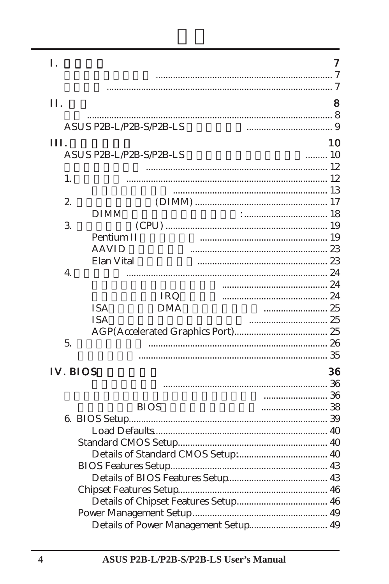| I.   |                         |            |                                      |
|------|-------------------------|------------|--------------------------------------|
|      |                         |            |                                      |
|      |                         |            |                                      |
| Η.   |                         |            | 8                                    |
|      |                         |            |                                      |
|      | ASUS P2B-LP2B-SP2B-LS   |            |                                      |
| III. |                         |            | 10                                   |
|      | ASUS P2B-L/P2B-S/P2B-LS |            | 10                                   |
|      |                         |            |                                      |
| 1.   |                         |            |                                      |
|      |                         |            |                                      |
| 2    |                         |            |                                      |
|      | <b>DIMM</b>             |            |                                      |
| З    |                         |            |                                      |
|      | Pentium II              |            |                                      |
|      | <b>AAVID</b>            |            |                                      |
|      | Elan Vital              |            |                                      |
| 4.   |                         |            |                                      |
|      |                         |            |                                      |
|      |                         | <b>IRQ</b> |                                      |
|      | <b>ISA</b>              | <b>DMA</b> |                                      |
|      | <b>ISA</b>              |            |                                      |
|      |                         |            |                                      |
| 5.   |                         |            |                                      |
|      |                         |            |                                      |
|      | IV. BIOS                |            | 36                                   |
|      |                         |            |                                      |
|      |                         |            |                                      |
|      | <b>BIOS</b>             |            |                                      |
|      |                         |            |                                      |
|      |                         |            |                                      |
|      |                         |            |                                      |
|      |                         |            |                                      |
|      |                         |            |                                      |
|      |                         |            |                                      |
|      |                         |            |                                      |
|      |                         |            |                                      |
|      |                         |            |                                      |
|      |                         |            | Details of Power Management Setup 49 |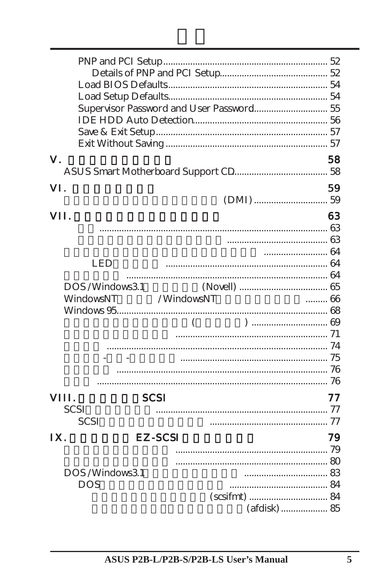| V.               |                |                  | 58           |  |
|------------------|----------------|------------------|--------------|--|
|                  |                |                  |              |  |
| VI.              |                |                  | 59           |  |
|                  |                |                  |              |  |
|                  |                |                  |              |  |
| VII.             |                |                  | 63           |  |
|                  |                |                  |              |  |
|                  |                |                  |              |  |
|                  |                |                  |              |  |
| <b>LED</b>       |                |                  |              |  |
| DOS / Windows 31 |                |                  |              |  |
| WindowsNT        |                | /WindowsNT       |              |  |
|                  |                |                  | 66           |  |
|                  |                | $\overline{(\ }$ |              |  |
|                  |                |                  |              |  |
|                  |                |                  |              |  |
|                  |                |                  |              |  |
|                  |                |                  |              |  |
|                  |                |                  |              |  |
|                  |                |                  |              |  |
| VIII.            | <b>SCSI</b>    |                  | 77           |  |
| <b>SCSI</b>      |                |                  |              |  |
| <b>SCSI</b>      |                |                  |              |  |
| IX.              | <b>EZ-SCSI</b> |                  | 79           |  |
|                  |                |                  |              |  |
|                  |                |                  |              |  |
| DOS / Windows 31 |                |                  |              |  |
| <b>DOS</b>       |                |                  |              |  |
|                  |                |                  |              |  |
|                  |                |                  | (afdisk)  85 |  |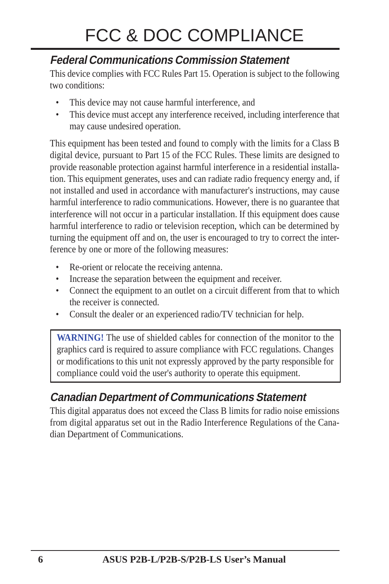# FCC & DOC COMPLIANCE

#### **Federal Communications Commission Statement**

This device complies with FCC Rules Part 15. Operation is subject to the following two conditions:

- This device may not cause harmful interference, and
- This device must accept any interference received, including interference that may cause undesired operation.

This equipment has been tested and found to comply with the limits for a Class B digital device, pursuant to Part 15 of the FCC Rules. These limits are designed to provide reasonable protection against harmful interference in a residential installation. This equipment generates, uses and can radiate radio frequency energy and, if not installed and used in accordance with manufacturer's instructions, may cause harmful interference to radio communications. However, there is no guarantee that interference will not occur in a particular installation. If this equipment does cause harmful interference to radio or television reception, which can be determined by turning the equipment off and on, the user is encouraged to try to correct the interference by one or more of the following measures:

- Re-orient or relocate the receiving antenna.
- Increase the separation between the equipment and receiver.
- Connect the equipment to an outlet on a circuit different from that to which the receiver is connected.
- Consult the dealer or an experienced radio/TV technician for help.

**WARNING!** The use of shielded cables for connection of the monitor to the graphics card is required to assure compliance with FCC regulations. Changes or modifications to this unit not expressly approved by the party responsible for compliance could void the user's authority to operate this equipment.

### **Canadian Department of Communications Statement**

This digital apparatus does not exceed the Class B limits for radio noise emissions from digital apparatus set out in the Radio Interference Regulations of the Canadian Department of Communications.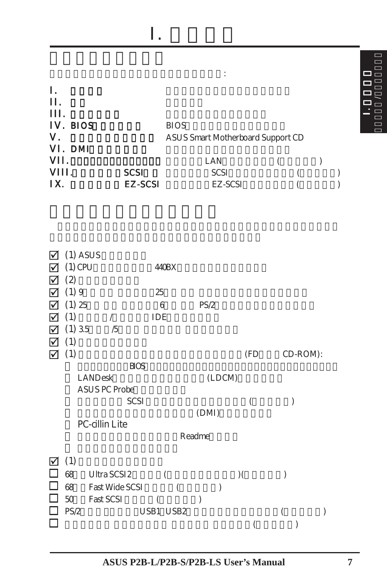|          |             | ٠                                 |  |  |
|----------|-------------|-----------------------------------|--|--|
| I.       |             |                                   |  |  |
| Н.       |             |                                   |  |  |
| III.     |             |                                   |  |  |
| IV. BIOS |             | <b>BIOS</b>                       |  |  |
| V.       |             | ASUS Smart Motherboard Support CD |  |  |
| VI. DMI  |             |                                   |  |  |
| VII.     |             | LAN                               |  |  |
| VIII.    | <b>SCSI</b> | <b>SCSI</b>                       |  |  |
| IX.      | EZ-SCSI     | EZ-SCSI                           |  |  |

 $\mathbf{I}$ .

| ☑ | $(1)$ ASUS |                      |              |        |               |                 |
|---|------------|----------------------|--------------|--------|---------------|-----------------|
| ∨ | $(1)$ CPU  |                      | <b>440BX</b> |        |               |                 |
| ✓ | (2)        |                      |              |        |               |                 |
| ∨ | (1)9       |                      | 25           |        |               |                 |
| ✓ | (1)25      |                      | 6            | PS/2   |               |                 |
| ✓ | (1)        | $\sqrt{2}$           | IDE          |        |               |                 |
| ✓ | (1)35      | /5                   |              |        |               |                 |
| ✓ | (1)        |                      |              |        |               |                 |
| M | (1)        |                      |              |        | (FD           | $CD$ -ROM $)$ : |
|   |            | <b>BIOS</b>          |              |        |               |                 |
|   |            | LANDesk              |              | (LDCM) |               |                 |
|   |            | <b>ASUS PC Probe</b> |              |        |               |                 |
|   |            | <b>SCSI</b>          |              |        |               |                 |
|   |            |                      |              | (DMI)  |               |                 |
|   |            | PC-cillin Lite       |              |        |               |                 |
|   |            |                      |              | Readme |               |                 |
|   |            |                      |              |        |               |                 |
| M | (1)        |                      |              |        |               |                 |
|   | 68         | Ultra SCSI2          |              |        | $\mathcal{L}$ |                 |
|   | 68         | Fast Wide SCSI       |              |        |               |                 |
|   | $50\,$     | Fast SCSI            |              |        |               |                 |
|   | PS/2       |                      | USB1 USB2    |        |               |                 |
|   |            |                      |              |        |               |                 |
|   |            |                      |              |        |               |                 |

I.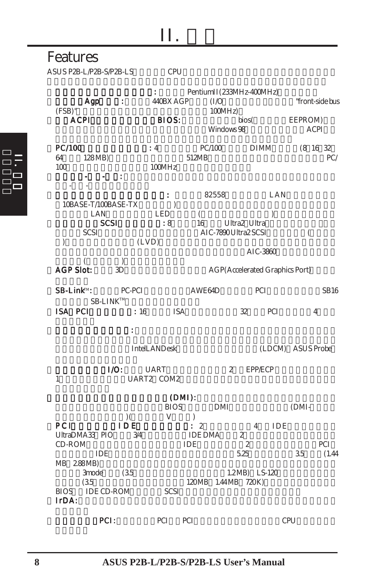# $II.$

### Features

ASUS P2B-L/P2B-S/P2B-LS
CPU

| Agp<br>$\ddot{\cdot}$<br>$(FSB)$ "<br><b>ACPI</b>                           | 440BX AGP<br>BIOS:                                           | PentiumII(233MHz-400MHz)<br>(1)<br>100MHz<br>bias(<br>Windows 98 |                              | "front-side bus<br>EEPROM)<br>ACPI |
|-----------------------------------------------------------------------------|--------------------------------------------------------------|------------------------------------------------------------------|------------------------------|------------------------------------|
| <b>PC/100</b><br>64<br>128MB)<br>100<br>$\ddot{\cdot}$                      | :4<br>512MB<br>100MHz                                        | PC/100 DIMM                                                      |                              | $(8\ 16\ 32)$<br>PC/               |
| 10BASE-T/100BASE-TX<br>LAN<br><b>SCSI</b><br>SCSI<br>$\mathcal{E}$<br>(LVD) | ÷<br>$\mathcal{E}$<br><b>LED</b><br>:8                       | 82558<br>$\left($<br>16 Ultra2 Ultra<br>AIC-7890Ultra2SCSI       | LAN<br>$\lambda$<br>AIC-3860 | $\left($                           |
| (<br>$\mathcal{E}$<br><b>AGP Slot:</b><br>3D                                |                                                              | AGP(Accelerated Graphics Port)                                   |                              |                                    |
| PC-PCI<br>SB-Link™:<br>$\text{SB-LINK}^{\scriptscriptstyle \text{TM}}$      |                                                              | AWE64D                                                           | <b>PCI</b>                   | SB16                               |
| ISA PCI<br>$\therefore$ 16                                                  | ISA                                                          | 32                                                               | PCI.                         | $\overline{4}$                     |
| $\ddot{\cdot}$                                                              | IntelLANDesk                                                 |                                                                  |                              | (LDCM) ASUS Probe                  |
| IO:<br>1                                                                    | UART<br>UART2 COM2                                           | $\mathbf{2}$                                                     | <b>EPP/ECP</b>               |                                    |
| $\left($<br>PCI<br>IDE<br>UltraDMA33 PIO 3/4                                | $(DMI)$ :<br><b>BIOS</b><br>V<br>$\mathcal{L}$<br>$\colon$ 2 | DMI<br><b>IDE DMA</b><br>$\mathbf{2}$                            | $\overline{4}$<br><b>IDE</b> | $(DM -$                            |
| CD-ROM<br><b>IDE</b><br>MB 288MB)<br><b>3mode</b><br>(35)                   | <b>IDE</b>                                                   | $\mathbf{2}$<br>525                                              | 1.2MB) LS-120                | <b>PCI</b><br>35<br>(1.44)         |
| (35)<br>BIOS IDE CD-ROM<br>IrDA:                                            | <b>SCSI</b>                                                  | 120MB 1.44MB 720K)                                               |                              |                                    |
| PCI:                                                                        | PCI<br><b>PCI</b>                                            |                                                                  |                              | <b>CPU</b>                         |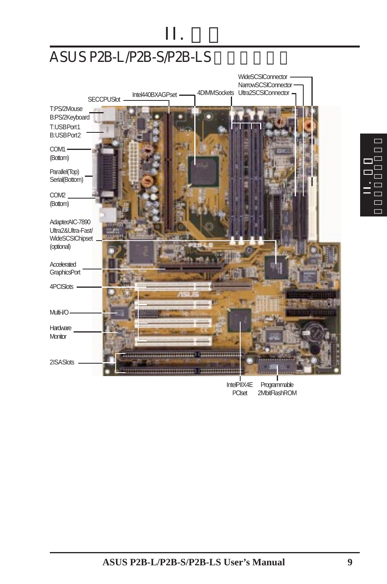## ASUS P2B-L/P2B-S/P2B-LS

 $II.$ 



Programmable 2MbitFlashROM IntelPIIX4E PCIset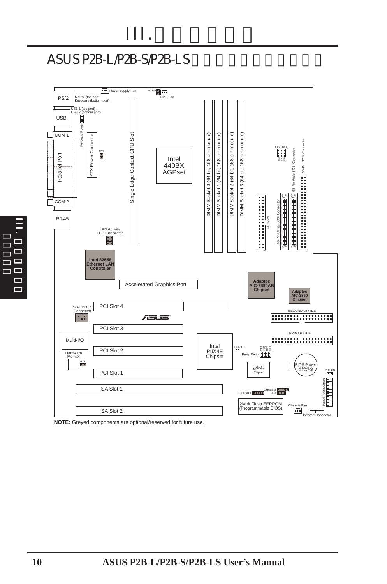### ASUS P2B-L/P2B-S/P2B-LS



**NOTE:** Greyed components are optional/reserved for future use.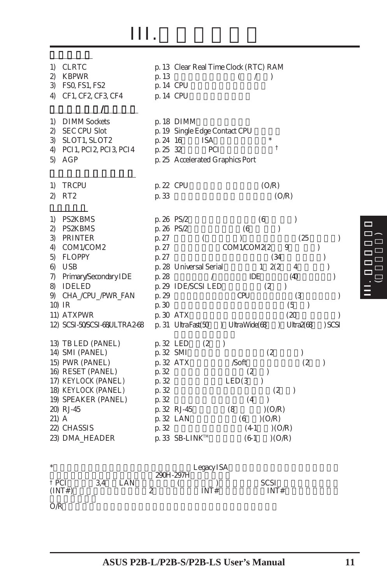| 1)            | <b>CLRTC</b>                | p. 13 Clear Real Time Clock (RTC) RAM                                                         |
|---------------|-----------------------------|-----------------------------------------------------------------------------------------------|
| 2)            | <b>KBPWR</b>                | p. 13<br>$\mathcal{E}$<br>(<br>$\sqrt{2}$                                                     |
| 3)            | FSQ FS1, FS2                | p. 14 CPU                                                                                     |
| 4)            | CF1, CF2, CF3 CF4           | p. 14 CPU                                                                                     |
|               |                             |                                                                                               |
|               |                             |                                                                                               |
| 1)            | <b>DIMM</b> Sockets         | p. 18 DIMM                                                                                    |
| 2)            | <b>SEC CPU Slot</b>         | p. 19 Single Edge Contact CPU                                                                 |
| 3)            | SLOT1, SLOT2                | p. 24 16<br><b>ISA</b>                                                                        |
| 40            | PCI 1, PCI 2, PCI 3, PCI 4  | Ť<br>p. 25 32<br>PCI                                                                          |
| 5)            | AGP                         | p. 25 Accelerated Graphics Port                                                               |
|               |                             |                                                                                               |
| 1)            | TRCPU                       | p. 22 CPU<br>(O/R)                                                                            |
| 2)            | RT <sub>2</sub>             | p. 33<br>(O/R)                                                                                |
|               |                             |                                                                                               |
| 1)            | <b>PS2KBMS</b>              | $p.26$ PS $/2$<br>(6)<br>$\mathcal{E}$                                                        |
| 2)            | <b>PS2KBMS</b>              | $p.26$ PS $/2$<br>(6)<br>$\mathcal{E}$                                                        |
| 3)            | PRINTER                     | (25<br>p. 27<br>$\mathcal{E}$<br>$\mathcal{E}$                                                |
| 4)            | COM1/COM2                   | COM1COM2(2<br>$\mathcal{E}$<br>p. 27<br>9                                                     |
| 5)            | <b>FLOPPY</b>               | (34)<br>p. 27<br>$\mathcal{E}$                                                                |
| 6)            | USB                         | 2(2)<br>p. 28 Universal Serial<br>1<br>4<br>$\mathcal{L}$                                     |
| 7)            | Primary/Secondary IDE       | p. 28<br>$\sqrt{2}$<br>IDE<br>$\Phi$<br>$\mathcal{E}$                                         |
| 8)            | <b>IDELED</b>               | (2)<br>p. 29 IDESCSI LED<br>$\mathcal{E}$                                                     |
| 9)            | CHA_/CPU_/PWR_FAN           | <b>CPU</b><br>p. 29<br>(3<br>$\mathcal{E}$                                                    |
|               | 10 IR                       | p. 30<br>(5<br>$\mathcal{E}$                                                                  |
|               | 11) ATXPWR                  | (20)<br>p. 30 ATX                                                                             |
|               | 12) SCSI-50SCSI-68ULTRA2-68 | p. 31 UltraFast $(50)$<br>$U$ ltra $2(68)$<br>) UltraWide $(68)$<br>$)$ SCSI<br>$\mathcal{L}$ |
|               |                             |                                                                                               |
|               | 13 TB LED (PANEL)           | p. 32 LED<br>(2)<br>$\mathcal{E}$                                                             |
|               | 14) SMI (PANEL)             | p. 32 SMI<br>(2<br>$\mathcal{E}$                                                              |
|               | 15) PWR (PANEL)             | p. 32 ATX<br>Soft<br>(2<br>$\mathcal{E}$                                                      |
|               | 16) RESET (PANEL)           | p. 32<br>(2)<br>$\mathcal{E}$                                                                 |
|               | 17) KEYLOCK (PANEL)         | LED(3)<br>p. 32                                                                               |
|               | 18) KEYLOCK (PANEL)         | (2)<br>p. 32<br>$\mathcal{E}$                                                                 |
|               | 19 SPEAKER (PANEL)          | p. 32<br>(4)<br>$\mathcal{E}$                                                                 |
|               | 20 RJ-45                    | p. 32 RJ-45<br>(8)<br>)(OR)                                                                   |
| 21) A         |                             | p. 32 LAN<br>)(OR)<br>(6                                                                      |
|               | 22) CHASSIS                 | (41)<br>)(OR)<br>p. 32                                                                        |
|               | 23) DMA_HEADER              | $p. 33$ SB-LINK <sup>TM</sup><br>(61)<br>)(OR)                                                |
|               |                             |                                                                                               |
|               |                             | LegacyISA                                                                                     |
|               |                             | 290H-297H                                                                                     |
| $\dagger$ PCI | LAN<br>34                   | SCSI<br>(<br>2<br>INT#                                                                        |
|               | (INT#)                      | INT#                                                                                          |
| ΟR            |                             |                                                                                               |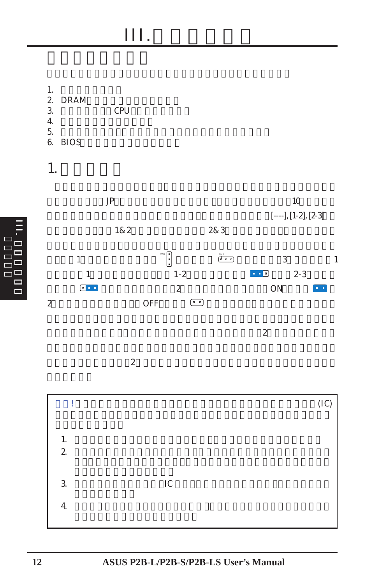- 1. ジャンパーの設定 2. DRAM<br>3  $\frac{3}{4}$  CPU  $4.$  $5.$ 6. BIOS
- 1. ジャンパー



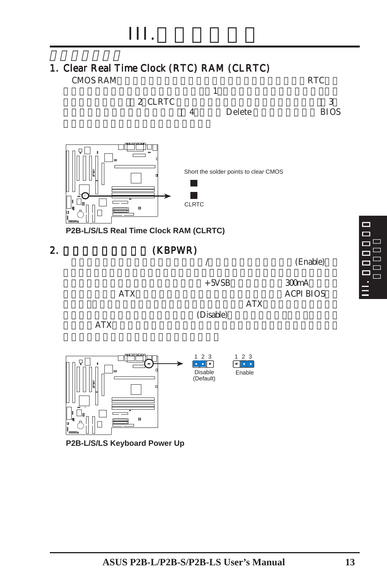



**P2B-L/S/LS Keyboard Power Up**

2<br>2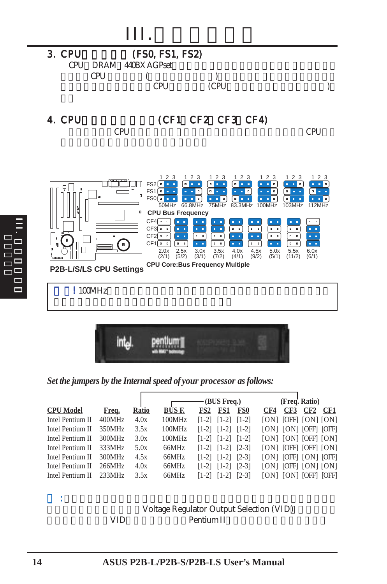



4. CPU (CF1 CF2 CF3 CF4) について CPU にっぽん こうしょう こうしょう こうしょう こうしょう こうしょう こうしょう こうしょう こうしょう こうしょう こうしょう こうしょう こうしょう こうしょう こうしょう こうしょう こうしょく





*Set the jumpers by the Internal speed of your processor as follows:*

|        |       |               |                               | (Freq. Ratio)            |
|--------|-------|---------------|-------------------------------|--------------------------|
| Freq.  | Ratio | <b>BUS F.</b> | FS <sub>2</sub><br>FS1<br>FS0 | CF3<br>CF2<br>CF1<br>CF4 |
| 400MHz | 4.0x  | 100MHz        | $[1-2]$ $[1-2]$ $[1-2]$       | [ON] [OFF] [ON] [ON]     |
| 350MHz | 3.5x  | 100MHz        | $[1-2]$ $[1-2]$ $[1-2]$       | [ON] [ON] [OFF] [OFF]    |
| 300MHz | 3.0x  | 100MHz        | $[1-2]$ $[1-2]$ $[1-2]$       | [ON] [ON] [OFF] [ON]     |
| 333MHz | 5.0x  | 66MHz         | $[1-2]$ $[1-2]$ $[2-3]$       | [ON] [OFF] [OFF] [ON]    |
| 300MHz | 4.5x  | 66MHz         | $[1-2]$ $[1-2]$ $[2-3]$       | [ON] [OFF] [ON] [OFF]    |
| 266MHz | 4.0x  | 66MHz         | $[1-2]$ $[1-2]$ $[2-3]$       | [ON] [OFF] [ON] [ON]     |
| 233MHz | 3.5x  | 66MHz         | $[1-2]$ $[1-2]$ $[2-3]$       | [ON] [ON] [OFF] [OFF]    |
|        |       |               |                               | $-$ (BUS Freq.)          |

: プロセッサーをオーバークロックです。

Voltage Regulator Output Selection (VID) VID Pentium II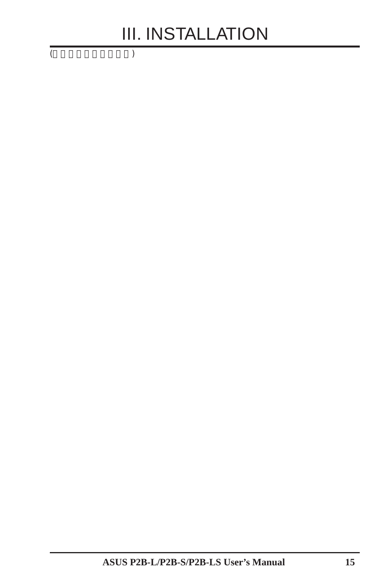$($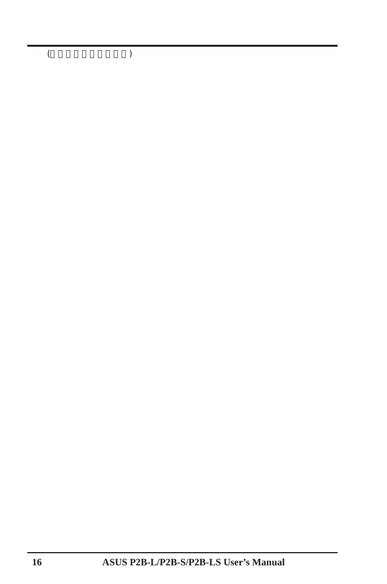**16 ASUS P2B-L/P2B-S/P2B-LS User's Manual**

 $($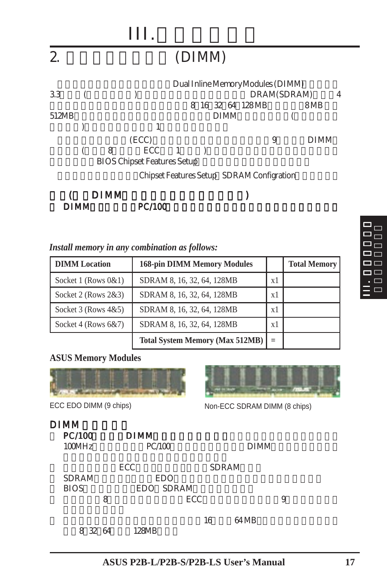| 2                          |  |   |                                           |              | (DIMM) |             |                                                  |   |                 |                |
|----------------------------|--|---|-------------------------------------------|--------------|--------|-------------|--------------------------------------------------|---|-----------------|----------------|
| 33                         |  |   |                                           |              |        |             | Dual Inline Memory Modules (DIMM)<br>DRAM(SDRAM) |   |                 | $\overline{4}$ |
| 512MB                      |  |   |                                           |              | 8      | <b>DIMM</b> | 16 32 64 128MB                                   |   | 8 <sub>MB</sub> |                |
|                            |  |   | 1<br>(ECC)                                |              |        |             |                                                  | 9 | <b>DIMM</b>     |                |
|                            |  | 8 | ECC<br><b>BIOS Chipset Features Setup</b> | $\mathbf{1}$ |        |             |                                                  |   |                 |                |
|                            |  |   |                                           |              |        |             | Chipset Features Setup SDRAM Configration        |   |                 |                |
| <b>DIMM</b><br><b>DIMM</b> |  |   | PC/100                                    |              |        |             |                                                  |   |                 |                |

*Install memory in any combination as follows:*

| <b>DIMM</b> Location     | <b>168-pin DIMM Memory Modules</b>     |     | <b>Total Memory</b> |
|--------------------------|----------------------------------------|-----|---------------------|
| Socket 1 (Rows $0&0$ )   | SDRAM 8, 16, 32, 64, 128MB             | x1  |                     |
| Socket 2 (Rows $2&3$ )   | SDRAM 8, 16, 32, 64, 128MB             | x1  |                     |
| Socket $3$ (Rows $4&5$ ) | SDRAM 8, 16, 32, 64, 128MB             | x1  |                     |
| Socket 4 (Rows $6&7$ )   | SDRAM 8, 16, 32, 64, 128MB             | x1  |                     |
|                          | <b>Total System Memory (Max 512MB)</b> | $=$ |                     |

#### **ASUS Memory Modules**





ECC EDO DIMM (9 chips) Non-ECC SDRAM DIMM (8 chips)

| <b>DIMM</b><br>PC/100<br>100MHz |          | <b>DIMM</b><br>PC/100 |                                |              | <b>DIMM</b> |   |
|---------------------------------|----------|-----------------------|--------------------------------|--------------|-------------|---|
| <b>SDRAM</b><br><b>BIOS</b>     | ECC<br>8 |                       | <b>EDO</b><br>EDO SDRAM<br>ECC | <b>SDRAM</b> |             | 9 |
| 8 32 64                         |          | 128MB                 |                                | 16           | 64 MB       |   |

i<br>Ei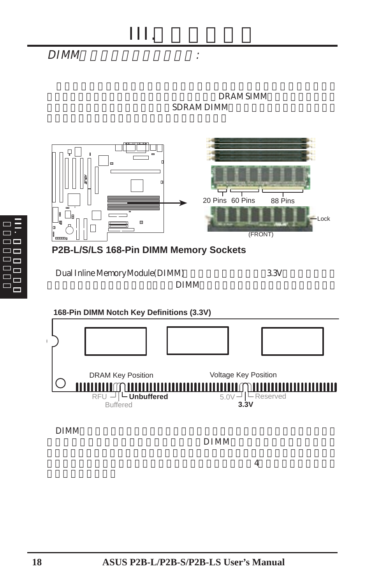DIMM :

#### DRAM SIMM SDRAM DIMM



III.

Dual Inline Memory Module(DIMM) 33V  $DIMM$ 

**168-Pin DIMM Notch Key Definitions (3.3V)** DRAM Key Position Voltage Key Position

**RFU JL Unbuffered** 5.0V → | ← Reserved **3.3V Buffered** 

 $\rm{DIMM}$ 

 $\mathbf{D}\text{IMM}$ 

 $4\overline{4}$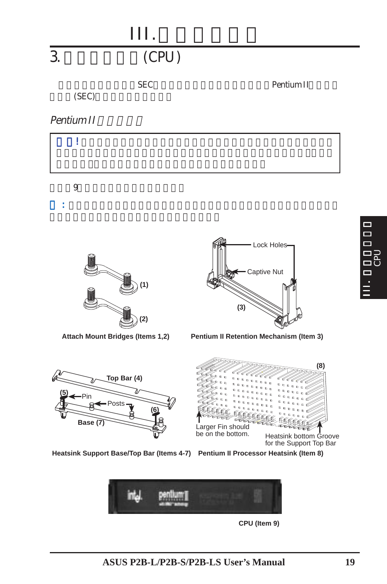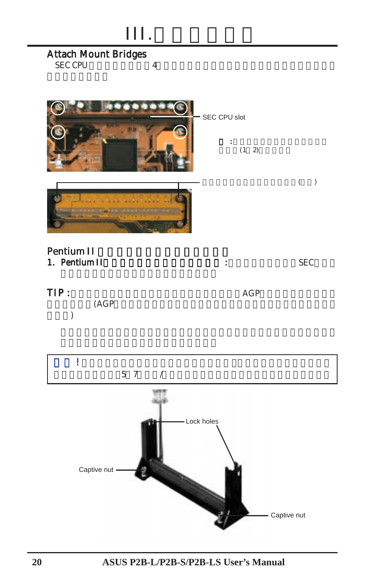### Attach Mount Bridges

 $SEC CPU$ 



警 告 ! ナットを締めすぎないようにしてください。マザーボードに損害を与え  $57/7$ Lock holes Captive nut -Captive nut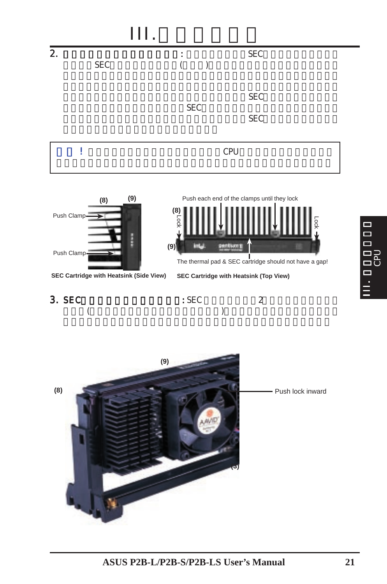|    |                      | III. |                      |     |            |  |
|----|----------------------|------|----------------------|-----|------------|--|
| 2. | $\operatorname{SEC}$ |      | ٠<br>٠               |     | $\rm{SEC}$ |  |
|    |                      |      | $\operatorname{SEC}$ |     | $\rm{SEC}$ |  |
|    |                      |      |                      |     | $\rm{SEC}$ |  |
|    |                      |      |                      | CPU |            |  |





**SEC Cartridge with Heatsink (Side View) SEC Cartridge with Heatsink (Top View)**





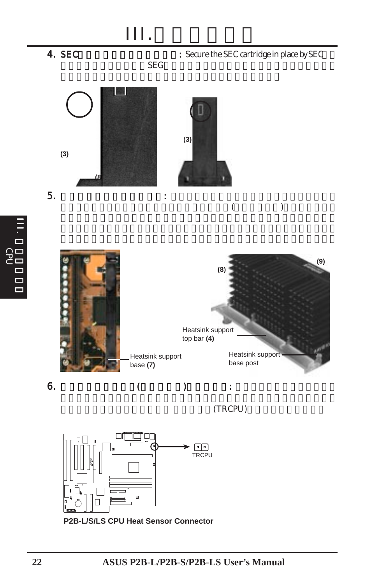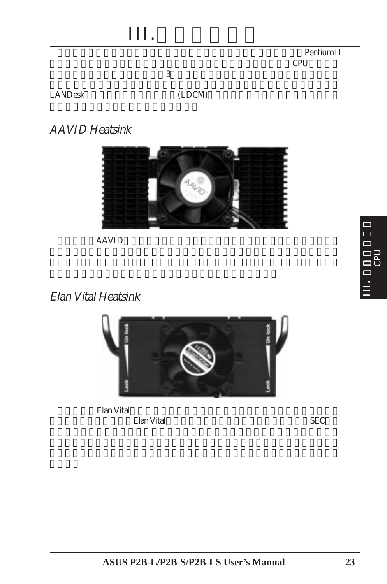|         | Ш      |                       |
|---------|--------|-----------------------|
|         |        | Pentium <sub>II</sub> |
|         |        | <b>CPU</b>            |
|         | 3      |                       |
| LANDesk | (LDCM) |                       |

#### AAVID Heatsink



**AAVID** 

Elan Vital Heatsink



ات Elan Vital<br>Elan Vital Elan Vital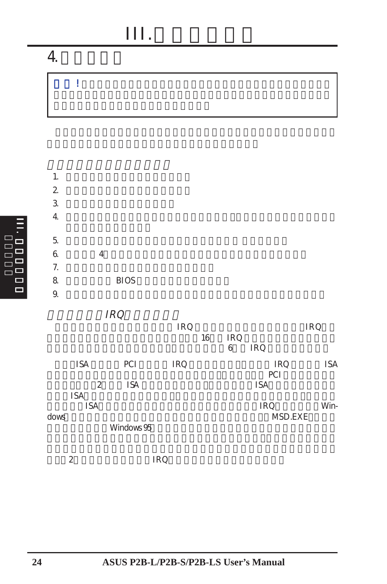## 4. 拡張カード

| 1.                  |   |             |  |  |  |  |
|---------------------|---|-------------|--|--|--|--|
| $\boldsymbol{2}$    |   |             |  |  |  |  |
| 3                   |   |             |  |  |  |  |
| 4                   |   |             |  |  |  |  |
|                     |   |             |  |  |  |  |
| $\overline{\omega}$ |   |             |  |  |  |  |
| $6\phantom{1}6$     | 4 |             |  |  |  |  |
| 7.                  |   |             |  |  |  |  |
| 8                   |   | <b>BIOS</b> |  |  |  |  |
| 9                   |   |             |  |  |  |  |

 $IRQ$ 

|      |                          |            |     | IRQ |    |          |            | IRQ     |            |
|------|--------------------------|------------|-----|-----|----|----------|------------|---------|------------|
|      |                          |            |     |     | 16 | IRQ<br>6 | IRQ        |         |            |
|      | <b>ISA</b>               | <b>PCI</b> |     | IRQ |    |          | PCI        | IRQ     | <b>ISA</b> |
|      | $\mathbf{2}$             | <b>ISA</b> |     |     |    |          | <b>ISA</b> |         |            |
| dows | <b>ISA</b><br><b>ISA</b> | Windows 95 |     |     |    |          | IRQ        | MSD.EXE | Win-       |
|      | 2                        |            | IRQ |     |    |          |            |         |            |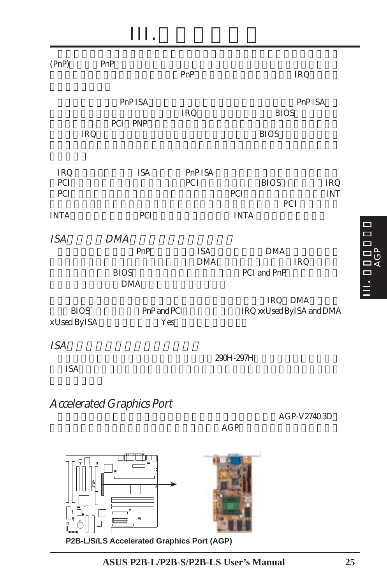|                          |                                                  |                                         | III.          |  |                          |                                     |                            |               |                   |  |  |
|--------------------------|--------------------------------------------------|-----------------------------------------|---------------|--|--------------------------|-------------------------------------|----------------------------|---------------|-------------------|--|--|
| (PhP)                    |                                                  | PnP<br>PnP                              |               |  |                          |                                     | IRQ                        |               |                   |  |  |
|                          | IRQ                                              | PCI PNP                                 | <b>PnPISA</b> |  | IRQ                      |                                     | <b>BIOS</b><br><b>BIOS</b> | <b>PnPISA</b> |                   |  |  |
| IRQ<br>PCI<br>PCI        |                                                  |                                         | <b>ISA</b>    |  | PnPISA<br>PCI            | PCI                                 | <b>BIOS</b><br>PCI         |               | IRQ<br><b>INT</b> |  |  |
| <b>INTA</b>              |                                                  |                                         | PCI           |  |                          | <b>INTA</b>                         |                            |               |                   |  |  |
| <b>ISA</b>               |                                                  | <b>DMA</b><br><b>BIOS</b><br><b>DMA</b> | PnP           |  | <b>ISA</b><br><b>DMA</b> |                                     | <b>DMA</b><br>PCI and PnP  | IRQ           |                   |  |  |
|                          | <b>BIOS</b><br>PnP and PCI<br>xUsed ByISA<br>Yes |                                         |               |  |                          | IRQ DMA<br>IRQ xxUsed ByISA and DMA |                            |               |                   |  |  |
| <b>ISA</b><br><b>ISA</b> |                                                  |                                         |               |  |                          | 290H-297H                           |                            |               |                   |  |  |

### Accelerated Graphics Port

このマザーボードは、新時代の超高性能グラフィックスカードAGP-V2740 3Dマ

 $AGP$ 



**P2B-L/S/LS Accelerated Graphics Port (AGP)**

AGP

i<br>E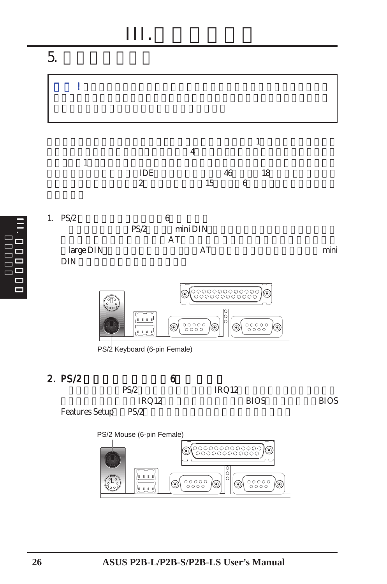$5.$ 



III.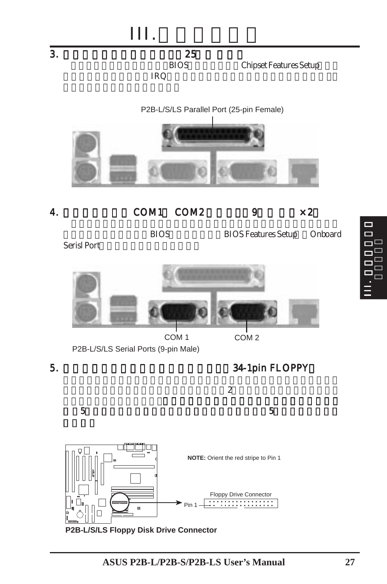

i<br>Ei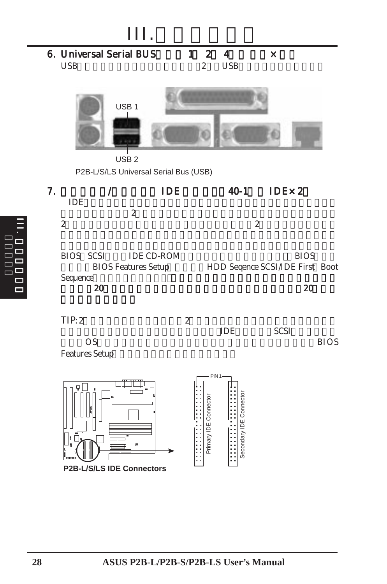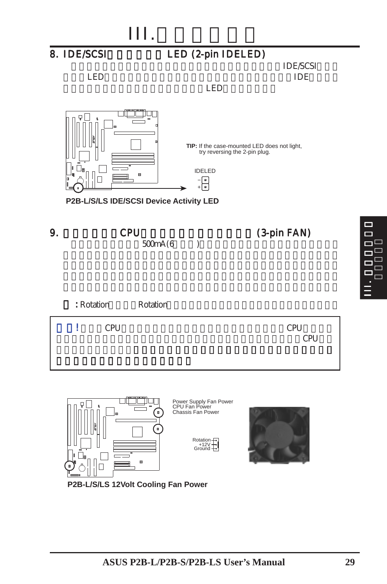

**P2B-L/S/LS 12Volt Cooling Fan Power**

i<br>Ei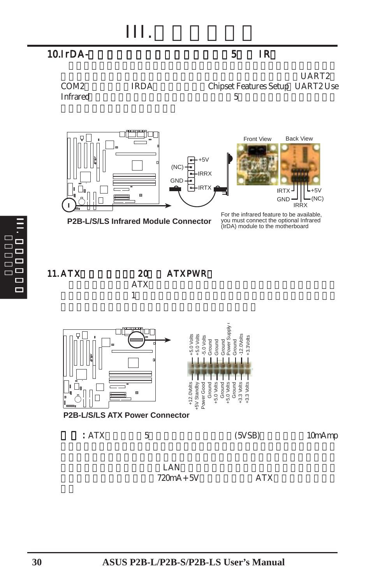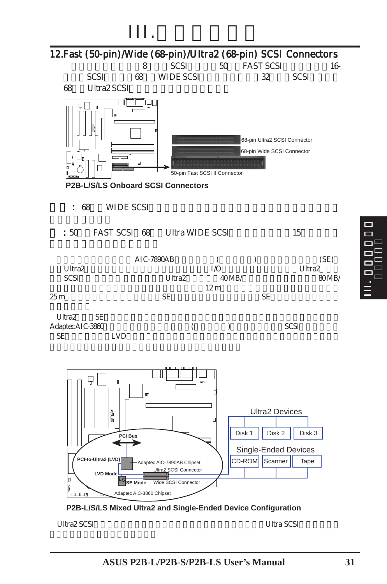



**P2B-L/S/LS Mixed Ultra2 and Single-Ended Device Configuration**

Ultra2 SCSI Ultra SCSI

.<br>Ei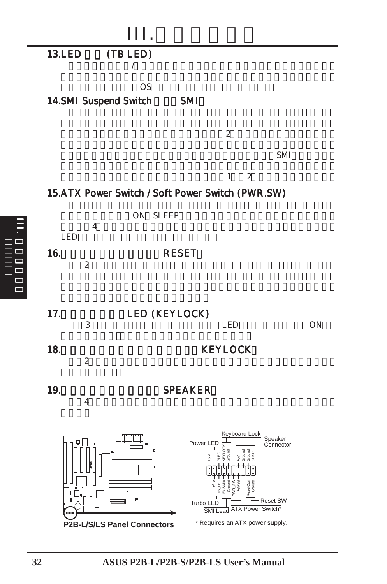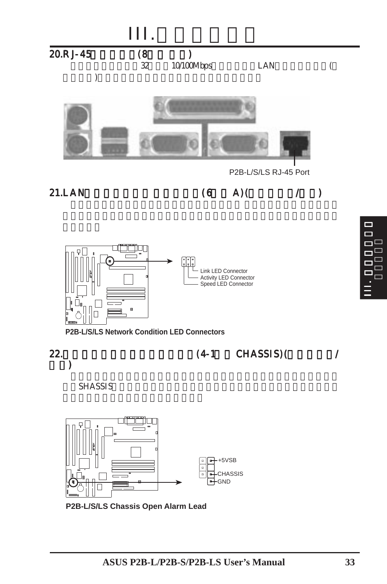



**P2B-L/S/LS Network Condition LED Connectors**



**SHASSIS** 

 $\lambda$ 



**P2B-L/S/LS Chassis Open Alarm Lead**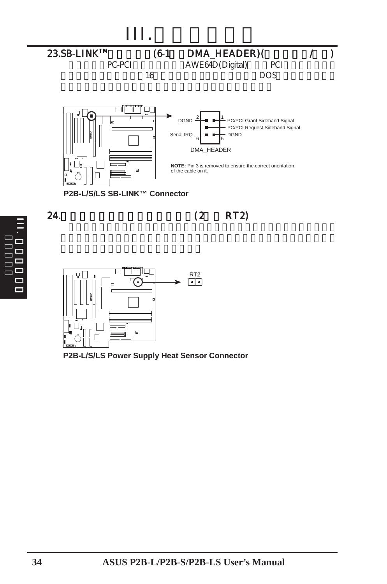

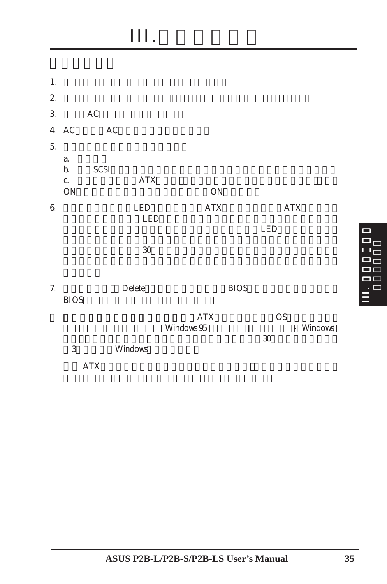| 1.                            |                                            |                        |                      |                          |  |                                  |  |
|-------------------------------|--------------------------------------------|------------------------|----------------------|--------------------------|--|----------------------------------|--|
| $\mathbf{2}% ^{2}/\mathbf{2}$ |                                            |                        |                      |                          |  |                                  |  |
| $\ensuremath{\mathbf{3}}$     |                                            | $\mathbf{A}\mathbf{C}$ |                      |                          |  |                                  |  |
| $\overline{4}$                | AC                                         | $\mathbf{A}\mathbf{C}$ |                      |                          |  |                                  |  |
| $5\,$                         |                                            |                        |                      |                          |  |                                  |  |
|                               | a.<br>$\mathbf b$<br>${\bf C}$<br>$\rm ON$ | SCSI                   | $\operatorname{ATX}$ | ON                       |  |                                  |  |
|                               |                                            |                        |                      |                          |  |                                  |  |
| $\rm 6$                       |                                            |                        | LED<br>LED           | $\operatorname{ATX}$     |  | $\operatorname{ATX}$             |  |
|                               |                                            |                        |                      |                          |  | LED                              |  |
|                               |                                            |                        | $30\,$               |                          |  |                                  |  |
|                               |                                            |                        |                      |                          |  |                                  |  |
| 7.                            |                                            | $\mbox{Delete}$        |                      | <b>BIOS</b>              |  |                                  |  |
|                               | <b>BIOS</b>                                |                        |                      |                          |  |                                  |  |
|                               |                                            |                        |                      | <b>ATX</b><br>Windows 95 |  | <b>OS</b><br>- Windows<br>$30\,$ |  |
|                               | 3                                          |                        | Windows              |                          |  |                                  |  |
| $\operatorname{ATX}$          |                                            |                        |                      |                          |  |                                  |  |
|                               |                                            |                        |                      |                          |  |                                  |  |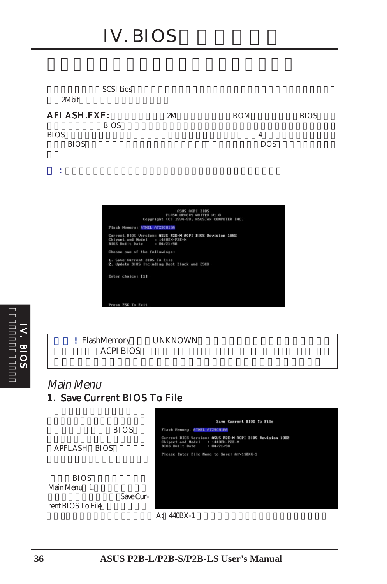# IV. BIOS



! FlashMemory UNKNOWN **ACPI BIOS** 

#### Main Menu 1. Save Current BIOS To File



A: 440BX-1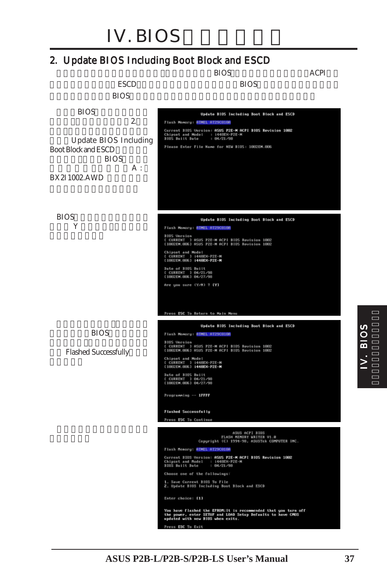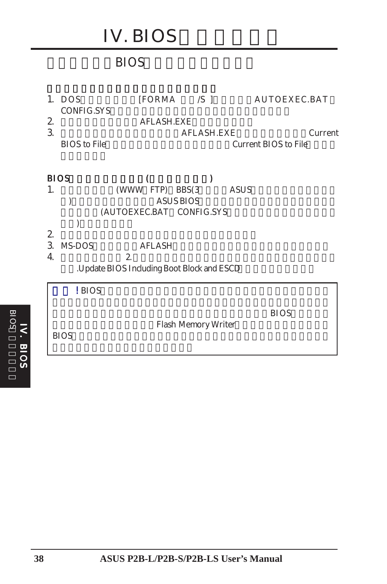## **BIOS**

| $1.$ DOS     | <b>FORMA</b> | /S I | AUTOEXEC.BAT |                      |
|--------------|--------------|------|--------------|----------------------|
|              |              |      |              |                      |
|              | AFLASH EXE   |      |              |                      |
|              |              |      |              | Current              |
| BIOS to File |              |      |              |                      |
|              | CONFIG SYS   |      | AFLASH EXE   | Current BIOS to File |

|              | <b>BIOS</b> |                                            |  |
|--------------|-------------|--------------------------------------------|--|
|              |             | <b>ASUS</b><br>(WWW FTP) BBS(3)            |  |
|              |             | <b>ASUS BIOS</b>                           |  |
|              |             | (AUTOEXEC.BAT CONFIG.SYS                   |  |
|              |             |                                            |  |
| $\mathbf{2}$ |             |                                            |  |
| З            | MS-DOS      | <b>AFLASH</b>                              |  |
| 4            |             | 2                                          |  |
|              |             | .Update BIOS Including Boot Block and ESCD |  |
|              |             |                                            |  |
|              | ! BIOS      |                                            |  |
|              |             |                                            |  |
|              |             |                                            |  |
|              |             | <b>BIOS</b>                                |  |
|              |             | <b>Flash Memory Writer</b>                 |  |

IV. BIOS BIOS<br>BIOS IV. BIOS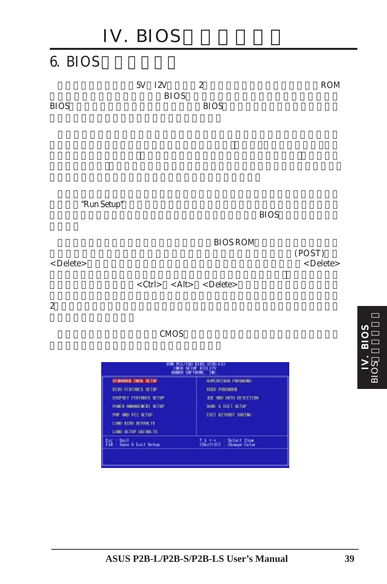|                          |             | IV. BIOS                                                 |                |                                                                       |             |                             |
|--------------------------|-------------|----------------------------------------------------------|----------------|-----------------------------------------------------------------------|-------------|-----------------------------|
| <b>6 BIOS</b>            |             |                                                          |                |                                                                       |             |                             |
| <b>BIOS</b>              |             | 5V IZV                                                   | <b>BIOS</b>    | $\boldsymbol{2}$<br><b>BIOS</b>                                       |             | <b>ROM</b>                  |
|                          | "Run Setup" |                                                          |                |                                                                       | <b>BIOS</b> |                             |
|                          |             |                                                          |                | <b>BIOS ROM</b>                                                       |             |                             |
| < Delete>                |             |                                                          |                |                                                                       |             | (POST)<br><delete></delete> |
|                          |             |                                                          |                | $\langle Ctrl \rangle$ $\langle Alt \rangle$ $\langle Delete \rangle$ |             |                             |
| $\overline{\mathcal{Z}}$ |             |                                                          |                |                                                                       |             |                             |
|                          |             |                                                          | <b>CMOS</b>    |                                                                       |             |                             |
|                          |             |                                                          | CROSSETOF ETTI |                                                                       |             |                             |
|                          |             | LEBORG CKN 161M                                          |                | <b>RAYERVERON PROGROMO</b>                                            |             |                             |
|                          |             | <b>LING FEATURES SETH</b>                                |                | <b>ISER PROJECT</b>                                                   |             |                             |
|                          |             | <b>DEPRET FERTHER NETH-</b><br>FORCE HOUSES BLUE SETTING |                | THE HID GITS DETERTION<br><b>SOK L DJ1 KTD</b>                        |             |                             |
|                          |             | THE 600 FCI SETUP                                        |                | DEI KUHRT SWING                                                       |             |                             |
|                          |             | LOND RENT-DEFINE FR                                      |                |                                                                       |             |                             |
|                          |             | LORD SERIE DEFAIL IS                                     |                |                                                                       |             |                             |

**Fix : Said & East Sense** 

**Marine** Black Fitz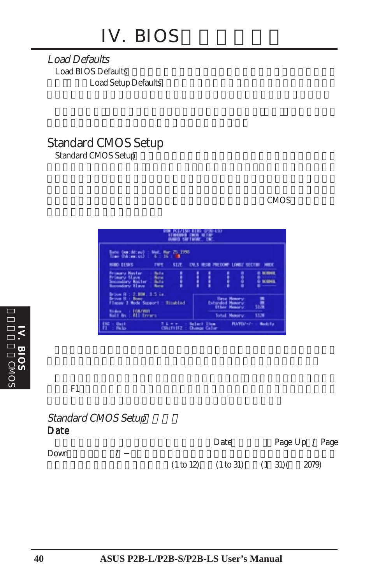#### Load Defaults Load BIOS Defaults Load Setup Defaults

#### Standard CMOS Setup Standard CMOS Setup

#### $CMOS$



IV. BIOS IV. BIOS

 $F1$ 

### Standard CMOS Setup Date

|      |  | Date                                                                  |  | Page Up / Page |
|------|--|-----------------------------------------------------------------------|--|----------------|
| Down |  |                                                                       |  |                |
|      |  | $(1 \text{ to } 12)$ , $(1 \text{ to } 31)$ $(1 \text{ 31})$ $(2079)$ |  |                |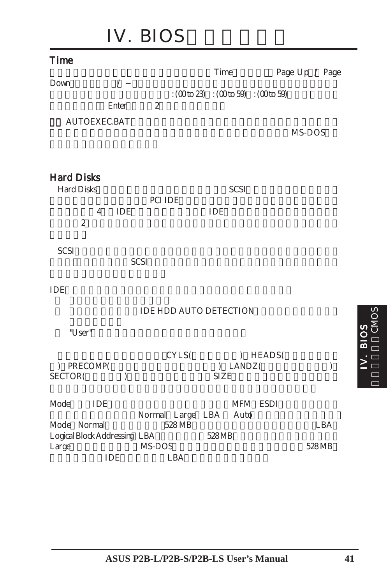| <b>Time</b>                                                                                     | Time                                | Page Up / Page |
|-------------------------------------------------------------------------------------------------|-------------------------------------|----------------|
| Down<br>Τ<br>2<br>Enter                                                                         | :(00to 23):(00to 59):(00to 59)      |                |
| <b>AUTOEXEC.BAT</b>                                                                             |                                     | MS-DOS         |
| <b>Hard Disks</b><br><b>Hard Disks</b><br>PCI IDE<br><b>IDE</b><br>4<br>$\overline{c}$          | <b>SCSI</b><br><b>IDE</b>           |                |
| <b>SCSI</b><br><b>SCSI</b>                                                                      |                                     |                |
| <b>IDE</b>                                                                                      |                                     |                |
| <b>IDE HDD AUTO DETECTION</b>                                                                   |                                     |                |
| "User"                                                                                          |                                     |                |
| CYLS(<br>) PRECOMP(<br>SECTOR(<br>$\mathcal{E}$                                                 | ) HEADS(<br>) LANDZ(<br><b>SIZE</b> | $\mathcal{E}$  |
| Mode<br><b>IDE</b><br>Normal Large LBA<br>528 MB<br>Mode Normal<br>Logical Block Addressing LBA | MFM<br>ESDI<br>Auto<br>528MB        | <b>LBA</b>     |
| MS-DOS<br>Large<br><b>IDE</b><br>LBA                                                            |                                     | 528 MB         |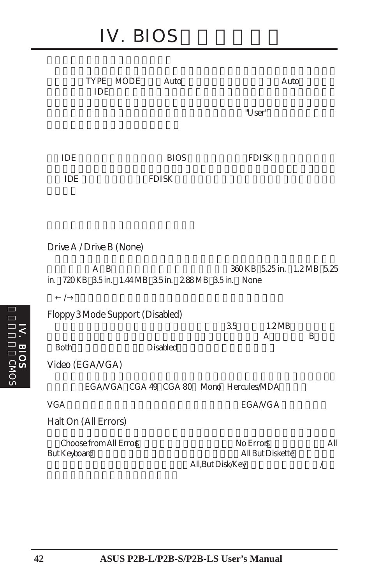|                         | <b>IDE</b>             | TYPE MODE | Auto                                          |                                | Auto                      |                       |
|-------------------------|------------------------|-----------|-----------------------------------------------|--------------------------------|---------------------------|-----------------------|
|                         |                        |           |                                               | "User"                         |                           |                       |
|                         |                        |           |                                               |                                |                           |                       |
| <b>IDE</b>              |                        |           | <b>BIOS</b>                                   |                                | <b>FDISK</b>              |                       |
| <b>IDE</b>              |                        |           | <b>FDISK</b>                                  |                                |                           |                       |
|                         |                        |           |                                               |                                |                           |                       |
|                         |                        |           |                                               |                                |                           |                       |
| Drive A /Drive B (None) |                        |           |                                               |                                |                           |                       |
|                         | A B                    |           | in. 720KB 35in. 1.44MB 35in. 288MB 35in. None |                                | 360KB 5.25 in. 1.2MB 5.25 |                       |
| $\overline{1}$          |                        |           |                                               |                                |                           |                       |
|                         |                        |           | Floppy 3 Mode Support (Disabled)              | 35                             | 1.2MB                     |                       |
| <b>Both</b>             |                        |           | Disabled                                      |                                | A                         | B                     |
| Video (EGANGA)          |                        |           |                                               |                                |                           |                       |
|                         |                        |           | EGANGA CGA 49 CGA 80 Mono HerculesMDA         |                                |                           |                       |
| VGA                     |                        |           |                                               |                                | EGANGA                    |                       |
| Halt On (All Errors)    |                        |           |                                               |                                |                           |                       |
| <b>But Keyboard</b>     | Choose from All Errors |           |                                               | No Errors<br>All, But Disk/Key | All But Diskette          | All<br>$\overline{ }$ |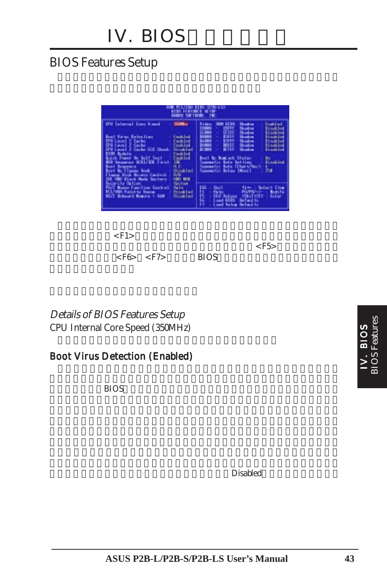## BIOS Features Setup

| PULLENCELES (POIN-US)<br><b>RINK FORTHOUR ALLINE</b><br><b><i>INVESTIGAT TV</i></b>                                                                                                                                                                                                                                                                                                                                                                                                                                                                                                                                                                                                                                                          |                                                                                                                                                                                                                                                                                                                                                                                                                                                                                                                                                                                                                                                                                                                                                                                                                                       |  |  |  |  |
|----------------------------------------------------------------------------------------------------------------------------------------------------------------------------------------------------------------------------------------------------------------------------------------------------------------------------------------------------------------------------------------------------------------------------------------------------------------------------------------------------------------------------------------------------------------------------------------------------------------------------------------------------------------------------------------------------------------------------------------------|---------------------------------------------------------------------------------------------------------------------------------------------------------------------------------------------------------------------------------------------------------------------------------------------------------------------------------------------------------------------------------------------------------------------------------------------------------------------------------------------------------------------------------------------------------------------------------------------------------------------------------------------------------------------------------------------------------------------------------------------------------------------------------------------------------------------------------------|--|--|--|--|
| IT4 Interest Earn Earn<br><b>DOM:NO</b><br><b>Boot Views Detections</b><br><b><i><u>Sachind</u></i></b><br>Facilitat<br>IPE Level 3 Garbo.<br>Englished<br>DU Level 2 Cache.<br>170 Leon) 3 Carlos ECE There<br><b>Donald will</b><br><b>E138 Bodata</b><br><b>Exchibit</b><br><b>Mith Jose</b><br><b>Boick Power By Self Text</b><br><b>KG Seagest SCSI/EX First</b><br>ш.<br><b>Road Requested</b><br><b>Burnet</b> Render<br>lout No Flappe Scok<br>Innon Rick Science Cardyse<br>R.<br>TH 100 Black Hale Sectors<br><b>HEL N'A</b><br><b>According Onlines</b><br><b>Grifton</b><br>Mary Mouse Function Control<br><b>Huta</b><br><b>FCL/VBI Fallet-to Succe</b><br><b>Direct Fact</b><br><b>Fir7 Britanni Reacry 1, 50M</b><br>Dinabled | <b>Foundational</b><br><b>REM ETER</b><br><b>Gloridans</b><br><b>Birdens</b><br><b>Guatra</b><br><b>Etnakled</b><br><b>COUNTY</b><br><b>CENTE</b><br>$-0.10$<br>Shoulder<br><b>Binokled</b><br><b>CONFIDENT</b><br>٠<br>主張を伝え<br><b>Monday</b><br><b>Disputation</b><br><b>Chapters</b><br>$-100$<br><b>Disoluted</b><br><b>BALISPICE</b><br><b>BOMMO - MOSTE</b><br><b>Shadow</b><br><b>Bitakled</b><br>14.444<br><b>Monday</b><br><b>Binghied</b><br><b>BLOWN</b><br>٠<br><b>Boot Ry Nashock Status:</b><br><b>TIPS</b><br><b>Commatic Role Sollings</b><br><b>Binoth Ind</b><br><b>Commatic Bain (Charn/Spr)</b><br><b>Nammatic Bolas (Moorl</b><br><b>ESC.</b> Unit<br>Solach The<br>1144<br><b>PLYMA-A- - Bodify</b><br>1. Fin Inc.<br>: Did Molson (Shiftlift) : Golar<br>Load EEEL<br><b>Befaul 14</b><br>Load Sekse Beford to |  |  |  |  |

$$
<\mathcal{F}1>
$$

 $\langle F5 \rangle$ 

 $\langle F6\rangle$   $\langle F7\rangle$  BIOS

### Details of BIOS Features Setup CPU Internal Core Speed (350MHz)

### Boot Virus Detection (Enabled)

BIOS

Disabled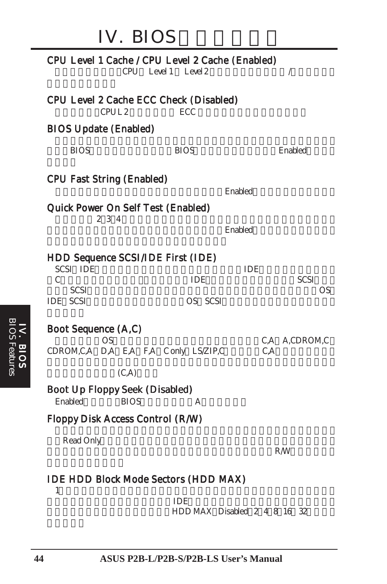## IV. BIOS CPU Level 1 Cache / CPU Level 2 Cache (Enabled) CPU Level 1 Level 2 CPU Level 2 Cache ECC Check (Disabled) CPUL 2 FCC BIOS Update (Enabled) BIOS BIOS BIOS Enabled CPU Fast String (Enabled) <u>Enabled</u> Quick Power On Self Test (Enabled)  $2, 3, 4$ **Enabled** Enabled HDD Sequence SCSI/IDE First (IDE) SCSI IDE NET <u>C</u>
IDE
SCSI  $\text{SCSI}$   $\hspace{1.6cm}$   $\text{OS}$ IDE SCSI OS SCSI Boot Sequence (A,C) OS C,A; A,CDROM,C ; CDROM,C,A;D,A;E,A;F,A;C only;LS/ZIP,C;C,A  $(C.A)$ Boot Up Floppy Seek (Disabled) Enabled BIOS A Floppy Disk Access Control (R/W) Read Only  $R\Delta W$ IDE HDD Block Mode Sectors (HDD MAX)  $1$

 $\overline{A}$  $HDD MAX$  Disabled  $2, 4, 8, 16, 32$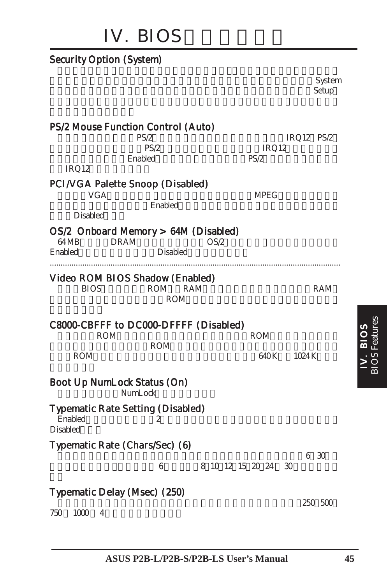| <b>Security Option (System)</b>                                                                   |                                 |
|---------------------------------------------------------------------------------------------------|---------------------------------|
|                                                                                                   | System<br>Setup                 |
| PS/2 Mouse Function Control (Auto)<br>PS/2<br>PS/2<br>Enabled<br>IRQ12                            | $IRQ12$ $PS/2$<br>IRQ12<br>PS/2 |
| PCINGA Palette Snoop (Disabled)<br>VG A<br>Enabled<br><b>Disabled</b>                             | <b>MPEG</b>                     |
| OS/2 Onboard Memory > 64M (Disabled)<br><b>DRAM</b><br>64 MB<br>OS2<br>Enabled<br><b>Disabled</b> |                                 |
| Video ROM BIOS Shadow (Enabled)<br><b>BIOS</b><br><b>ROM</b><br>RAM<br><b>ROM</b>                 | RAM                             |
| C8000-CBFFF to DC000-DFFFF (Disabled)<br><b>ROM</b><br>ROM<br>ROM                                 | <b>ROM</b><br>640 K<br>1024K    |
| Boot Up NumLock Status (On)<br><b>NumLock</b>                                                     |                                 |
| <b>Typematic Rate Setting (Disabled)</b><br>Enabled<br>$\overline{2}$<br><b>D</b> isabled         |                                 |
| Typematic Rate (Chars/Sec) (6)                                                                    |                                 |
| 6                                                                                                 | 6 30<br>8 10 12 15 20 24<br>30  |
| Typematic Delay (Msec) (250)                                                                      |                                 |
| 750<br>1000<br>$\overline{4}$                                                                     | 250 500                         |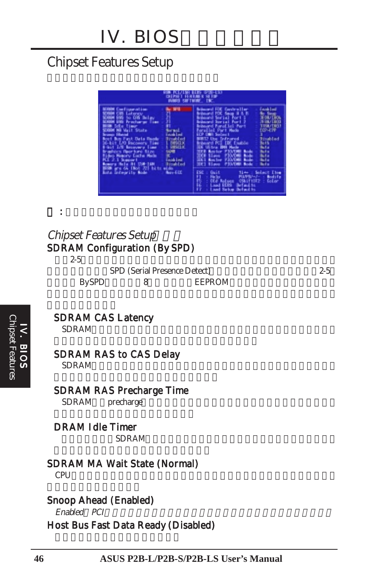## Chipset Features Setup

| <b>DOTA: L. FERTURE CALLIST</b><br><b>INVIOR SUFFICIARY FACT.</b>                                                                                                                                                                                                                                                                                                                                                                                                                                                                                                                                |                                                                                                                                                                                                                                                                                                                                                                                                                                                                                                                                                                                                                                                                                                                                                                                                                                       |
|--------------------------------------------------------------------------------------------------------------------------------------------------------------------------------------------------------------------------------------------------------------------------------------------------------------------------------------------------------------------------------------------------------------------------------------------------------------------------------------------------------------------------------------------------------------------------------------------------|---------------------------------------------------------------------------------------------------------------------------------------------------------------------------------------------------------------------------------------------------------------------------------------------------------------------------------------------------------------------------------------------------------------------------------------------------------------------------------------------------------------------------------------------------------------------------------------------------------------------------------------------------------------------------------------------------------------------------------------------------------------------------------------------------------------------------------------|
| <b>MATE</b><br><b>MJOH Carl marvel Lac</b><br><b>STRING CITY Laborated</b><br>SCARN RID to Did Belay<br><b>KAIN ES Fredara</b> r Time<br>mm tele fine.<br>SCASSOR POR March Situate<br>ok Lost<br><b>Systems</b> Educated<br><b>Roof Ron Fast Data Rende</b><br><b>Birnald and</b><br>6-bit LVO Escomery Time<br>L DEVILK<br>bit 1/6 houvers line<br><b>SENIX</b><br>Inspires Operfund Stoc.<br><b>LOWE</b><br>des Ninory Cathe Made<br>inabled<br>CI 2.1 Support<br>more Hole 31, 158-148<br><b>Bisablad</b><br>ROM are de l'Aot 721 bits wide<br><b>Luta Direction Bode</b><br><b>Barr-ELE</b> | <b>Environment</b><br><b>Britannel FOC Cardwaller</b><br><b>Britanard FDE Same II &amp; B</b><br><b>Bo</b> , Swan<br><b>SOUTION</b><br><b>Britaind Serial Port 1</b><br>Britannel Sovial Port 2<br>洋油口能过<br><b>TERATEST</b><br><b>Britanard Foral Let Part</b><br><b>109419</b><br>haraliel Part Made<br>LCP DBI Solar L<br><b>Bissiolad</b><br><b>NWIP the federated</b><br><b>Britanned PCS 1100 Enables:</b><br><b>Both</b><br>136 Million 1966 Made<br><b>Bullet</b><br><b>But a</b><br>TFF Rector FEATHE Rode<br>DER Siano FIO/OM Rodo<br><b>Bufa</b><br><b>Build</b><br><b>ISLI Rocley FIO/DBI B</b><br><b>Buda</b><br><b>IEC Slave PSVOM Rode</b><br><b>ESC .: Dail.</b><br>1144 11<br>Solach Thee<br><b>PLUMA-2- - Bodify</b><br>- Firley<br>: Old Asiass (Shiftli) : Golar<br>I Last E101 Befaults<br>: Land Schar Befaci is |

### Chipset Features Setup SDRAM Configuration (By SPD)

: 項目名横のカッコ内は初期設定です。

 $2-5$ 

|              | SPD (Serial Presence Detect) |        | $2-5$ |
|--------------|------------------------------|--------|-------|
| <b>BySPD</b> |                              | EEPROM |       |

### SDRAM CAS Latency

 $SDRAM$ 

IV. BIOS Chipset Features

Chipset Features **BIOS** 

#### SDRAM RAS to CAS Delay SDRAM

### SDRAM RAS Precharge Time

SDRAM precharge

## DRAM Idle Timer

SDRAM  $\mathcal{L}$ 

### SDRAM MA Wait State (Normal)

 $\rm CPU$ 

### Snoop Ahead (Enabled)

Enabled PCI

### Host Bus Fast Data Ready (Disabled)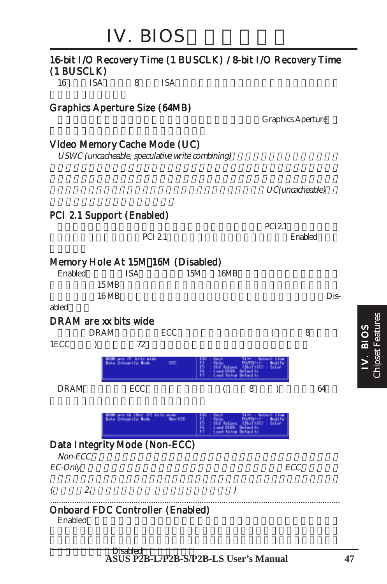|                                                                                                 | IV. BIOS                                        |            |               |   |               |                          |
|-------------------------------------------------------------------------------------------------|-------------------------------------------------|------------|---------------|---|---------------|--------------------------|
| 16-bit I/O Recovery Time (1 BUSCLK) / 8-bit I/O Recovery Time<br>(1 BUSCLK)<br>16<br><b>ISA</b> | 8                                               | <b>ISA</b> |               |   |               |                          |
| <b>Graphics Aperture Size (64MB)</b>                                                            |                                                 |            |               |   |               | <b>Graphics Aperture</b> |
| Video Memory Cache Mode (UC)                                                                    | USWC (uncacheable, speculative write combining) |            |               |   |               |                          |
|                                                                                                 |                                                 |            |               |   |               | UC(uncacheable)          |
| PCI 2.1 Support (Enabled)                                                                       | <b>PCI 21</b>                                   |            |               |   | PCI21         | Enabled                  |
| Memory Hole At 15M 16M (Disabled)<br>Enabled<br>abled                                           | <b>ISA</b><br>15MB<br>16MB                      | 15M        | 16MB          |   |               | Dis-                     |
| DRAM are xx bits wide<br><b>DRAM</b><br>1ECC<br>$\mathcal{L}$                                   | 72                                              | ECC        |               |   | (             | 8                        |
|                                                                                                 |                                                 | <b>UGC</b> |               |   |               |                          |
| <b>DRAM</b>                                                                                     | ECC                                             |            | (             | 8 | $\mathcal{E}$ | 64                       |
|                                                                                                 |                                                 |            |               |   |               |                          |
| Data Integrity Mode (Non-ECC)<br>Non-ECC<br>EC-Only                                             |                                                 |            |               |   | ECC           |                          |
| $\mathcal{Z}$<br>$\left($                                                                       |                                                 |            | $\mathcal{C}$ |   |               |                          |
| <b>Onboard FDC Controller (Enabled)</b><br>Enabled                                              |                                                 |            |               |   |               |                          |

IV. BIOS Chipset Features

IV. BIOS<br>Chipset Features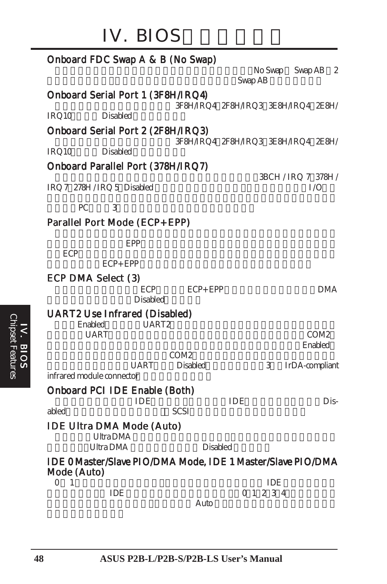| Onboard FDC Swap A & B (No Swap)                                          |                                      |                                        |
|---------------------------------------------------------------------------|--------------------------------------|----------------------------------------|
|                                                                           | Swap AB                              | Swap AB 2<br>No Swap                   |
| Onboard Serial Port 1 (3F8HARQ4)                                          |                                      |                                        |
| <b>Disabled</b><br>IRQ10                                                  |                                      | <b>F8HARQ4 2F8HARQ3 3E8HARQ4 2E8H/</b> |
| Onboard Serial Port 2 (2F8HARQ3)                                          |                                      |                                        |
|                                                                           |                                      | <b>F8HARQ4 2F8HARQ3 3E8HARQ4 2E8H/</b> |
| <b>D</b> isabled<br>IRQ10                                                 |                                      |                                        |
| Onboard Parallel Port (378H/IRQ7)                                         |                                      | 3BCH / IRQ 7 378H /                    |
| IRQ 7 278H /IRQ 5 Disabled                                                |                                      | I/O                                    |
| PC.<br>3                                                                  |                                      |                                        |
| Parallel Port Mode (ECP+ EPP)                                             |                                      |                                        |
| <b>EPP</b>                                                                |                                      |                                        |
| ECP<br>$ECP + EPP$                                                        |                                      |                                        |
| ECP DMA Select (3)                                                        |                                      |                                        |
| ECP                                                                       | $ECP + EPP$                          | DMA                                    |
| <b>D</b> isabled                                                          |                                      |                                        |
| <b>UART2 Use Infrared (Disabled)</b>                                      |                                      |                                        |
| Enabled<br>UART <sub>2</sub><br><b>UART</b>                               |                                      | COM <sub>2</sub>                       |
|                                                                           |                                      | Enabled                                |
| UART                                                                      | COM <sub>2</sub><br><b>D</b> isabled | 3                                      |
| infrared module connector                                                 |                                      | IrDA-compliant                         |
| Onboard PCI IDE Enable (Both)                                             |                                      |                                        |
| <b>IDE</b>                                                                | <b>IDE</b>                           | $Dis-$                                 |
| abled                                                                     | <b>SCSI</b>                          |                                        |
| <b>IDE Ultra DMA Mode (Auto)</b><br>Ultra DMA                             |                                      |                                        |
| Ultra DMA                                                                 | <b>Disabled</b>                      |                                        |
| IDE OMaster Slave PIO DMA Mode, IDE 1 Master Slave PIO DMA<br>Mode (Auto) |                                      |                                        |
| $\Omega$<br>$\overline{1}$                                                |                                      | <b>IDE</b>                             |
| <b>IDE</b>                                                                | Auto                                 | 0 1 2 3 4                              |
|                                                                           |                                      |                                        |

IV. BIOS<br>Chipset Features Chipset FeaturesIV. BIOS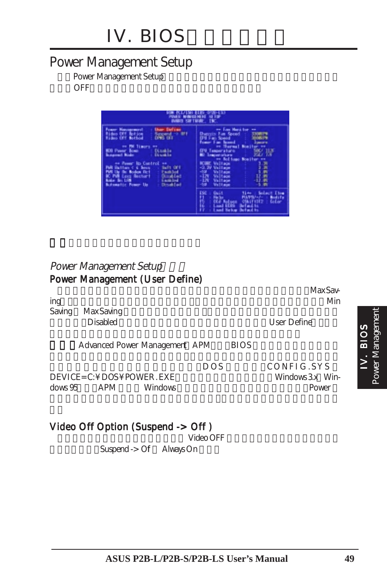## Power Management Setup

Power Management Setup OFF<sup>2</sup>

|                                                                                                                                                                                                                                                                                                                                                                                                                                                        | POWER MONOGRAPHY AS THE<br><b>INGHER SIX TAKEN  TAC.</b>                                                                                                                                                                                                                                                                                                                                                                                                                                                                            |  |  |  |  |
|--------------------------------------------------------------------------------------------------------------------------------------------------------------------------------------------------------------------------------------------------------------------------------------------------------------------------------------------------------------------------------------------------------------------------------------------------------|-------------------------------------------------------------------------------------------------------------------------------------------------------------------------------------------------------------------------------------------------------------------------------------------------------------------------------------------------------------------------------------------------------------------------------------------------------------------------------------------------------------------------------------|--|--|--|--|
| are Naccionari<br><b>Due Deliver</b><br><b>Here of Person</b><br>Second 10, 811<br>D/RS 011<br>on PH Timory on<br><b>RII Paver Boss</b><br><b>Disable</b><br><b>Bongressil Birder</b><br><b>Diam'r.</b><br>as Power lip Cantrol as<br>FWR Shallan < & Second - Shall CFT<br>MA Up the Bodon First - Cash led<br>C PM Loss Bostont   Claudiot<br><b>Luis Bri Liffi</b><br><b><i><u>Easth Ind.</u></i></b><br><b>Referential Four-Tier</b><br>Droak Last | on Los Marithan on<br>Durchin Fan Speed.<br><b>CPM Finals Scheduler</b><br>France Fair Spanish<br>on Thomas! Bisition on<br><b>SIC/ 117</b><br>(Fil Teaperature)<br>2.LF TN<br><b>Bill Lincorn of Lare</b><br><b>** Reliams Monitor</b><br>128歳<br><b>WORK Vallage</b><br>-2. 2V Vallage<br>-59 Vallage<br>-129 Valtage<br>-170 Vallage<br>-50 Vallage<br><b>ESC .: Oait</b><br>114+   Solach The<br><b>PLAYOU</b> + d = 1. Booki Fa-<br><b>Fight</b><br>Old Rolson, OSK(F1112, Golge<br>Laad EDS Befacils<br>- Land Schar Behad in |  |  |  |  |

### Power Management Setup Power Management (User Define)

 パワーマネージメントモードのマスターコントロールとして機能します。Max Saving the state of the state extension of the state of the state of the state of the state  $\mathrm{Min}$ Saving Max Saving Disabled the User Define Advanced Power Managemert APM BIOS  $DOS$  CONFIG.SYS  $DEVICE = C: \log_{10} POS \cdot POWER$ . EXE Windows 3.x Windows 95 APM Windows  $\blacksquare$ 

### Video Off Option (Suspend -> Off )

 $V$ ideo OFF

 $Suspend \rightarrow Of$  Always On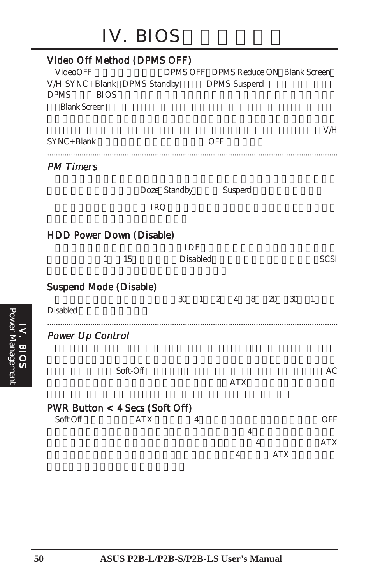| Video Off Method (DPMS OFF)<br>VideoOFF                                                        |                            |            |                  |            |            |   |               | DPMS OFF DPMS Reduce ON Blank Screen |             |
|------------------------------------------------------------------------------------------------|----------------------------|------------|------------------|------------|------------|---|---------------|--------------------------------------|-------------|
| V/H SYNC+ Blank DPMS Standby DPMS Susperd<br><b>BIOS</b><br><b>DPMS</b><br><b>Blank Screen</b> |                            |            |                  |            |            |   |               |                                      |             |
| SYNC+ Blank                                                                                    |                            |            |                  | <b>OFF</b> |            |   |               |                                      | VH          |
| <b>PM Timers</b>                                                                               |                            |            |                  |            |            |   |               |                                      |             |
|                                                                                                | Doze Standby<br><b>IRQ</b> |            |                  |            | Susperd    |   |               |                                      |             |
| HDD Power Down (Disable)<br>1                                                                  | 15                         | <b>IDE</b> | <b>D</b> isabled |            |            |   |               |                                      | <b>SCSI</b> |
| <b>Suspend Mode (Disable)</b><br><b>Disabled</b>                                               |                            |            |                  |            |            |   | 30 1 2 4 8 20 | $30 \quad 1$                         |             |
| Power Up Control                                                                               |                            |            |                  |            |            |   |               |                                      |             |
|                                                                                                | Soft-Off                   |            |                  |            | <b>ATX</b> |   |               |                                      | AC          |
| PWR Button < 4 Secs (Soft Off)<br>Soft Off                                                     | <b>ATX</b>                 |            | 4                |            |            | 4 |               |                                      | OFF         |
|                                                                                                |                            |            |                  |            | 4          | 4 | <b>ATX</b>    |                                      | <b>ATX</b>  |

IV. BIOS Power Management

IV. BIOS<br>Power Management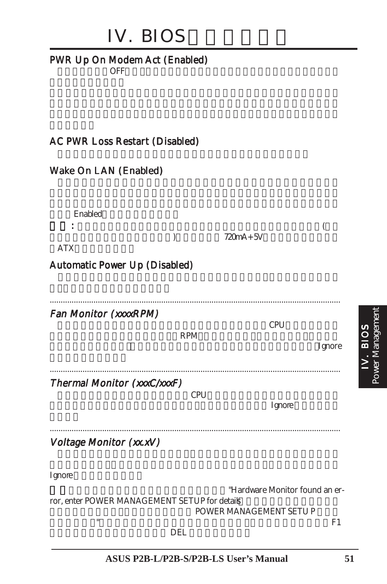#### PWR Up On Modem Act (Enabled) **DFF** OFF

#### AC PWR Loss Restart (Disabled)

#### Wake On LAN (Enabled)

| Enabled                       |            |            |        |
|-------------------------------|------------|------------|--------|
| <b>ATX</b>                    | )          | $720mA+5V$ |        |
| Automatic Power Up (Disabled) |            |            |        |
|                               |            |            |        |
| Fan Monitor (xxxxRPM)         |            | <b>CPU</b> |        |
|                               | <b>RPM</b> |            | Ignore |
| Thermal Monitor (xxxC/xxxF)   |            |            |        |
|                               | <b>CPU</b> | Ignore     |        |
| Voltage Monitor (xx xV)       |            |            |        |
|                               |            |            |        |

Ignore

"Hardware Monitor found an er-

ror, enter POWER MANAGEMENT SETUP for details **POWER MANAGEMENT SETU P**  $\mathbb{F}$  ) extends the state  $\mathbb{F}$ 1

 $DEL$ 

IV. BIOS Power Management

Power Managemer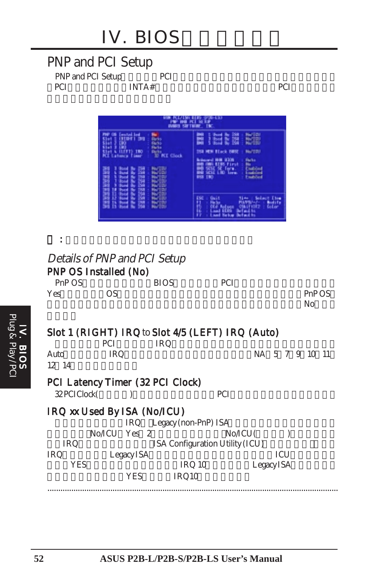## PNP and PCI Setup

PNP and PCI Setup PCI PCI INTA#

| $97.8 - 130$<br><b>THE HOR PET SERR</b><br><b>INNUS SECTIONS: TNC</b>                                                                                                                                                                                                                                                                                                                              |                                                                                                                                                                                                                                                                                                          |  |  |
|----------------------------------------------------------------------------------------------------------------------------------------------------------------------------------------------------------------------------------------------------------------------------------------------------------------------------------------------------------------------------------------------------|----------------------------------------------------------------------------------------------------------------------------------------------------------------------------------------------------------------------------------------------------------------------------------------------------------|--|--|
| <b>Installed</b><br><b>COL</b><br>ь.<br><b>INTO-TT DIE</b><br><b>Flasho</b><br>Bill 10<br>$2.189$ 180<br><b>Baba</b><br><b>Data</b><br><b>CE Latence Time</b><br>32 PCI Clock<br><b>Pin/TIM</b><br><b>Boad</b><br><b>Ha/103</b><br><b>V</b> Bund<br>By 238<br><b>Used</b><br>o<br><b>No.7113</b><br>$-10$<br><b>BELLETTE</b><br><b>KUTTU</b><br><b>Good</b><br><b>No./1133</b><br>×<br>ū<br>No/TEG | 1. Book By 200<br><b>Re/103</b><br>m<br>N<br>1話を聞<br>$+104/111$<br><b>Ma/110</b><br>No. 71111<br>THE MEN Black HERE<br><b>Reinstored HOM 21209</b><br><b>Flatin</b><br>bis<br>■韓 朝鮮 経験 Flext<br>■韓 朝鮮 経 Tory<br>Enablish<br>÷<br><b>DE SCSI LID Lora</b><br>Enabled<br><b>BSN 190</b><br><b>Fashfied</b> |  |  |
| sа<br>No./110.<br>×а<br><b>Bund</b><br>Nu/103<br>۴ä<br><b>Ka/100</b>                                                                                                                                                                                                                                                                                                                               | <b>ESC .: Dail</b><br><b>TIA+ : Solacit Ties</b><br><b>PLAYBU</b> editorial<br><b>Booki Fax</b><br>: Fiche<br><b>GMITTIEZ: folge</b><br>×<br><b>Charles</b><br><b>Befaul 16</b><br>٠<br>Land Schar Briand is                                                                                             |  |  |

:  $\frac{d}{dt}$ 

### Details of PNP and PCI Setup

#### PNP OS Installed (No)

| P <sub>n</sub> P <sub>OS</sub> |    | <b>BIOS</b> | PCI |       |
|--------------------------------|----|-------------|-----|-------|
| Yes                            | OS |             |     | PnPOS |
|                                |    |             |     | No    |

#### Slot 1 (RIGHT) IRQ to Slot  $4/5$  (LEFT) IRQ (Auto) PCI IRQ Auto IRQ NA 5 7 9 10 11 12 14 PCI Latency Timer (32 PCI Clock) 32 PCIClock() しかしい PCI IRQ xx Used By ISA (NoACU) IRQ Legacy (non-PnP) ISA No/ICU Yes 2 IRQ ISA Configuration Utility (ICU) IRQ Legacy ISA TCU YES IRQ 10 Legacy ISA YES IRQ10

IV. BIOS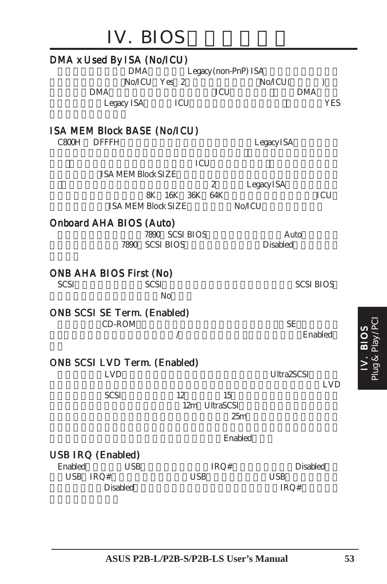| DMA x Used By ISA (NoACU)                                                  |                                                |                                  |                                 |                      |
|----------------------------------------------------------------------------|------------------------------------------------|----------------------------------|---------------------------------|----------------------|
| <b>DMA</b><br><b>DMA</b><br>Legacy ISA                                     | NoACU Yes 2<br>ICU                             | Legacy (non-PnP) ISA<br>ICU      | NoACU(<br><b>DMA</b>            | $\mathcal{E}$<br>YES |
| ISA MEM Block BASE (NoACU)<br><b>DFFFH</b><br>C800H                        |                                                |                                  | LegacyISA                       |                      |
|                                                                            | ICU                                            |                                  |                                 |                      |
| <b>ISA MEM Block SIZE</b>                                                  | 16K<br>36K<br>8K.<br><b>ISA MEM Block SIZE</b> | $\boldsymbol{2}$<br>64K<br>NoACU | LegacyISA                       | ICU                  |
|                                                                            |                                                |                                  |                                 |                      |
| Onboard AHA BIOS (Auto)                                                    | 7890 SCSI BIOS<br>7890 SCSI BIOS               |                                  | Auto<br><b>Disabled</b>         |                      |
| <b>ONB AHA BIOS First (No)</b><br><b>SCSI</b>                              | <b>SCSI</b><br>$N_{\Omega}$                    |                                  |                                 | <b>SCSI BIOS</b>     |
| <b>ONB SCSI SE Term. (Enabled)</b>                                         |                                                |                                  |                                 |                      |
| CD-ROM                                                                     | Τ                                              |                                  | <b>SE</b>                       | Enabled              |
|                                                                            |                                                |                                  |                                 |                      |
| ONB SCSI LVD Term. (Enabled)<br><b>LVD</b>                                 |                                                |                                  | Ultra2SCSI                      | <b>LVD</b>           |
| <b>SCSI</b>                                                                | 12                                             | 15<br>12m UltraSCSI<br>25m       |                                 |                      |
|                                                                            |                                                |                                  |                                 |                      |
|                                                                            |                                                | Enabled                          |                                 |                      |
| USB IRQ (Enabled)<br>Enabled<br><b>USB</b><br>USB IRQ#<br><b>D</b> isabled | <b>USB</b>                                     | IRQ#                             | <b>Disabled</b><br>USB.<br>IRQ# |                      |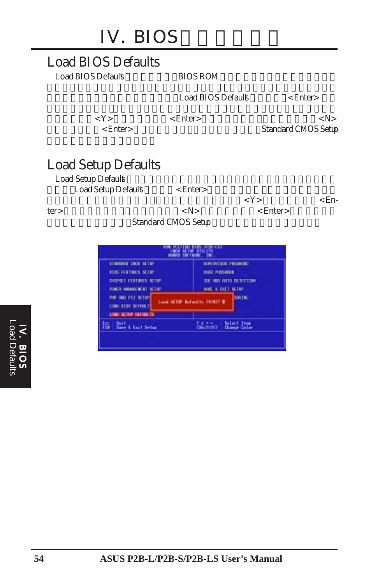**COLORADO NETOS** 

**REDUCED BY FIRMS** SCRAP DEFINI

115 | Save & East Sena

w

| <b>Load BIOS Defaults</b><br>Load BIOS Defaults                                        | <b>BIOS ROM</b>                                                            |                                     |
|----------------------------------------------------------------------------------------|----------------------------------------------------------------------------|-------------------------------------|
|                                                                                        | Load BIOS Defaults                                                         | $\langle$ Enter $\rangle$           |
| < Y<br>$<$ Enter $>$                                                                   | $<$ Enter $>$                                                              | $<$ N><br>Standard CMOS Setup       |
| Load Setup Defaults<br>Load Setup Defaults<br>Load Setup Defaults                      | $\langle$ Enter $\rangle$                                                  |                                     |
| ter>                                                                                   | $\langle N \rangle$                                                        | $<$ Y $>$<br>< En-<br>$<$ Enter $>$ |
|                                                                                        | Standard CMOS Setup                                                        |                                     |
|                                                                                        |                                                                            |                                     |
| <b>STRODUCE CROSS 18 FM</b><br><b>EINS FEATURES SETIM</b><br><b>DEPOT FIELDIS MISE</b> | HUPH RILEASE PROGRAM<br><b>HILE FINSHEES</b><br>THE HELL CULTIS OF SECTION |                                     |

**OF LIGHT STRP** 

**Skirring** Street Page

**INTEG** 

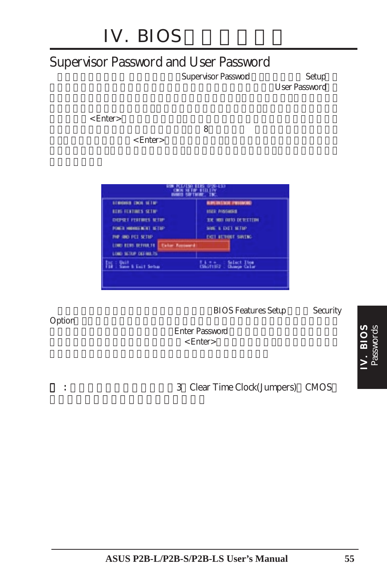## Supervisor Password and User Password

Supervisor Password Setup

**User Password** 

 $\langle$  Enter>

 $8$ 

 $\langle$  Enters



Option ていっぴんりょう しょうしょく しゅうしゅうしょくだいがく

**RIOS Features Setup Marshall Security**<br> **RIOS Features Setup Marshall Security** 

Enter Password  $\leq$  Enter>

: 3 Clear Time Clock(Jumpers) CMOS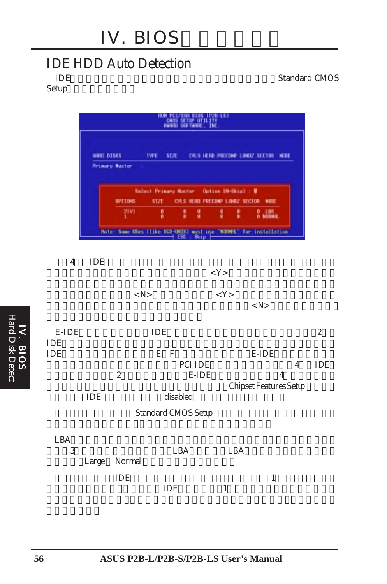## IDE HDD Auto Detection

Setup

#### IDE Standard CMOS

|                   |      |            | <b>RWRED SOFTWEET, THE</b>                  |   |                                                   |  |                                       |
|-------------------|------|------------|---------------------------------------------|---|---------------------------------------------------|--|---------------------------------------|
| <b>NEED DISCS</b> |      | <b>TWE</b> | SLÆ.                                        |   |                                                   |  | CHES HERD PRECONF ERIELY SECTION MODE |
|                   |      |            |                                             |   |                                                   |  |                                       |
| Primary Rester    |      |            |                                             |   |                                                   |  |                                       |
|                   |      |            |                                             |   |                                                   |  |                                       |
|                   |      |            |                                             |   |                                                   |  |                                       |
| <b>BPTIDES</b>    |      | SIZE.      | Select Primary Mexter - Option IN-Skip) : M |   | <b>CAS ISSUED PRECIDENT LIBRARY SECTION: WORK</b> |  |                                       |
|                   | 2191 |            | g.                                          | 1 |                                                   |  | 2. 202                                |

#### $4$  IDE

|                     | < Y                 |  |
|---------------------|---------------------|--|
| $\langle N \rangle$ | $< Y$ >             |  |
|                     | $\langle N \rangle$ |  |

| E-IDE<br><b>IDE</b> |            |                | <b>IDE</b>          |                        |   |                | $\overline{2}$ |
|---------------------|------------|----------------|---------------------|------------------------|---|----------------|----------------|
| <b>IDE</b>          |            |                | F<br>E              | E-IDE                  |   |                |                |
|                     |            |                | PCI IDE             |                        |   | $\overline{4}$ | <b>IDE</b>     |
|                     |            | $\overline{2}$ | E-IDE               |                        | 4 |                |                |
|                     |            |                |                     | Chipset Features Setup |   |                |                |
|                     | <b>IDE</b> |                | disabled            |                        |   |                |                |
|                     |            |                | Standard CMOS Setup |                        |   |                |                |
| LBA<br>3            |            |                | <b>LBA</b>          | LBA                    |   |                |                |
|                     | Large      | Normal         |                     |                        |   |                |                |
|                     |            | <b>IDE</b>     |                     |                        | 1 |                |                |
|                     |            |                | <b>IDE</b>          | 1                      |   |                |                |

IV. BIOS Hard Disk Detect

IV. BIOS<br>Hard Disk Detect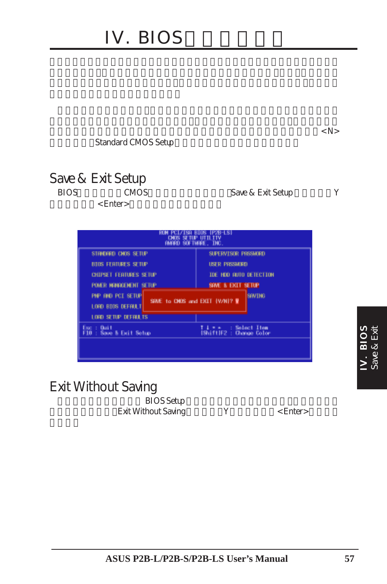$<\mathrm{N}>$ 

#### Standard CMOS Setup

## Save & Exit Setup

 $<$  Enter $>$ 

BIOS CMOS Save & Exit Setup

| HUM PCL/TSH BLUS (PAS-LS)<br><b>CACE SETUP UTILITY</b><br>DATED SOFTWEE, DIC. |                                                      |  |  |  |
|-------------------------------------------------------------------------------|------------------------------------------------------|--|--|--|
| STRACKED CHOS SETUP                                                           | <b>SUPERVISOR PRESMOND</b>                           |  |  |  |
| <b>NIG FEATURES SETUP</b>                                                     | <b>LET'R PRESMIRE</b>                                |  |  |  |
| CHIPSET FEATURES SETUP                                                        | TDE HDD RUTO DETECTION                               |  |  |  |
| <b>POMER NONDERENT SETUP</b>                                                  | SIVE & EXIT SETUP                                    |  |  |  |
| PHP AND PCT SETUP<br>LORD BIOS DEFRILT                                        | SAVING<br>SIVE to OKIS and EKIT (V/H)? R             |  |  |  |
| LORD SETUP DEFRILTS                                                           |                                                      |  |  |  |
| Esc: Ouit<br>F10 : Save & Exit Setup                                          | : Soloct Itom<br>T 1 = +<br>IShiftIF2 : Change Color |  |  |  |
|                                                                               |                                                      |  |  |  |
|                                                                               |                                                      |  |  |  |

## Exit Without Saving

**BIOS Setup** Exit Without Saving  $Y \leq$  Enter>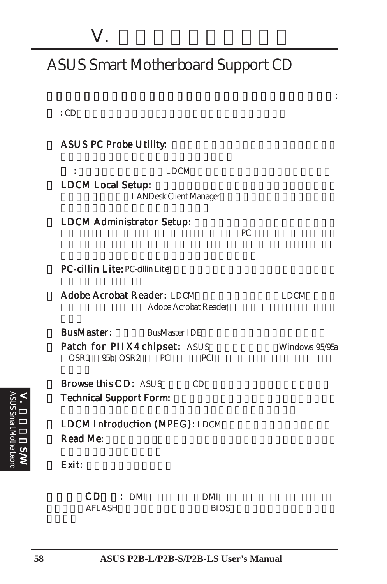## ASUS Smart Motherboard Support CD

サポートCDを挿入すると、次のような選択メニューが表示されます サポートCDを挿入すると、次のような選択メニューが表示されます:

 $:$  CD

| <b>ASUS PC Probe Utility.</b>                                                                                                   |                |
|---------------------------------------------------------------------------------------------------------------------------------|----------------|
| <b>LDCM</b><br><b>LDCM Local Setup:</b><br><b>LANDesk Client Manager</b>                                                        |                |
| <b>LDCM</b> Administrator Setup:                                                                                                | PC.            |
| PC-cillin Lite: PC-cillin Lite                                                                                                  |                |
| Adobe Acrobat Reader: LDCM<br>Adobe Acrobat Reader                                                                              | <b>LDCM</b>    |
| <b>BusMaster:</b><br>BusMaster IDE<br>Patch for PIIX4 chipset: ASUS<br>95b OSR2<br><b>PCI</b><br>OSR <sub>1</sub><br><b>PCI</b> | Windows 95/95a |
| <b>Browse this CD: ASUS</b><br>CD<br><b>Technical Support Form:</b>                                                             |                |
| <b>LDCM Introduction (MPEG): LDCM</b><br><b>Read Me:</b>                                                                        |                |
| Exit:                                                                                                                           |                |
| C D<br>DMI<br>DMI                                                                                                               |                |

**58 ASUS P2B-L/P2B-S/P2B-LS User's Manual**

**AFLASH** BIOS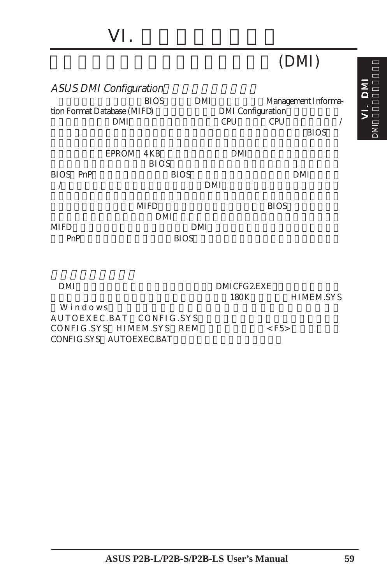| VI.                                                                |                            |                                               |                                   |             |                                    |
|--------------------------------------------------------------------|----------------------------|-----------------------------------------------|-----------------------------------|-------------|------------------------------------|
|                                                                    |                            |                                               | (DMI)                             |             |                                    |
| <b>ASUS DMI Configuration</b><br>tion Format Database (MIFD)<br>DM | <b>BIOS</b>                | DMI<br><b>DMI</b> Configuration<br><b>CPU</b> | Management Informa-<br><b>CPU</b> | <b>BIOS</b> | $\overline{\text{VI}}$ . DMI<br>DМ |
| <b>EPROM</b>                                                       | 4KB                        | DM                                            |                                   |             |                                    |
| BIOS PnP                                                           | <b>BIOS</b><br><b>BIOS</b> | DMI                                           | DMI                               |             |                                    |
|                                                                    | <b>MIFD</b><br>DMI         |                                               | <b>BIOS</b>                       |             |                                    |
| <b>MIFD</b>                                                        |                            | DM                                            |                                   |             |                                    |
| PnP                                                                | <b>BIOS</b>                |                                               |                                   |             |                                    |
| DMI                                                                |                            | DMICFG2EXE<br>180K                            |                                   | HIMEM.SYS   |                                    |
| Windows                                                            |                            |                                               |                                   |             |                                    |
| AUTOEXEC.BAT CONFIG.SYS<br>CONFIG.SYS HIMEM.SYS                    | <b>REM</b>                 |                                               | $\langle$ F5>                     |             |                                    |

CONFIG.SYS AUTOEXEC.BAT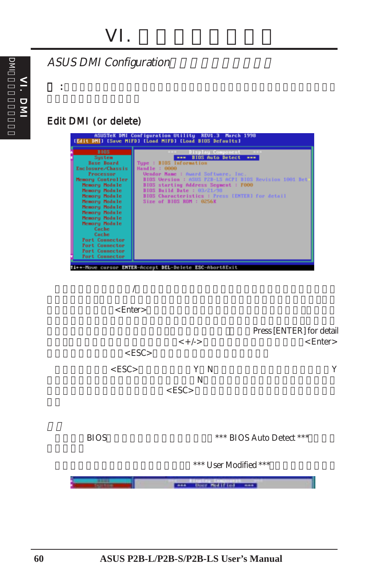ASUS DMI Configuration

### Edit DMI (or delete)

| <b>B10S</b><br>Sustem<br><b>Base Board</b><br>Enclosure/Chassis<br>Processor.<br>Memory Controller<br>Memory Module<br>Memory Module                                                                                            | ASUSTeX DMI Configuration Utility REV1.3 March 1998<br>[Edit DMI] [Save MIFD] [Load MIFD] [Load BIOS Defaults]<br>Display Component<br>.<br><b>WARE</b><br>*** BIOS Auto Detect<br>Type : BIOS Information<br>Handle: 0000<br>Vendor Mame : Award Software, Inc.<br>BIOS Version : ASUS PZB-LS ACPI BIOS Revision 1001 Bet<br>BIOS starting Address Segment : F000<br>BIOS Build Date : 03/21/98 |
|---------------------------------------------------------------------------------------------------------------------------------------------------------------------------------------------------------------------------------|--------------------------------------------------------------------------------------------------------------------------------------------------------------------------------------------------------------------------------------------------------------------------------------------------------------------------------------------------------------------------------------------------|
| Memory Module<br>Memory Module<br>Memory Module<br>Memory Module<br>Memory Module<br>Memory Module<br>Cache<br><b>Cache</b><br><b>Port Connector</b><br><b>Port Connector</b><br><b>Port Connector</b><br><b>Port Connector</b> | BIOS Characteristics : Press [ENTER] for detail<br>Size of BIOS ROM : 0256K                                                                                                                                                                                                                                                                                                                      |

トップメニューでは左/右キーを、左側のメニューでは上下キーを使ってカーソル

: ここで<br>また、または、あくまでものです。

< Enter>

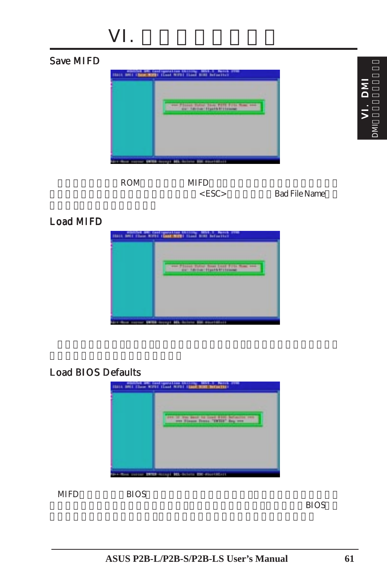## VI.





and MIFD ROM STORES MIFD

< ESC> Bad File Name

#### Load MIFD



### Load BIOS Defaults



MIFD BIOS

 $B$ IOS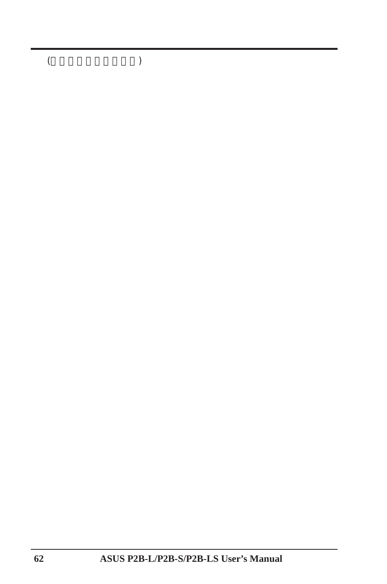$($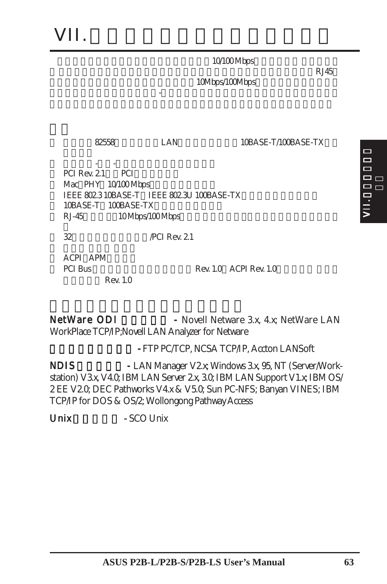VII.  $\blacksquare$ 

10/100 Mbps

 $R$ J45

10Mbps/100Mbps

スターアーキテクチャ、オート-ネゴシエーション機能をサポートします。また、一

82558 LAN 10BASE-T/100BASE-TX

・ ウェイク-オン-ラン遠隔制御機能をサポート  $PCI$   $R_{PV}$   $21$   $PCI$ Mac PHY 10/100 Mbps IEEE 802.3 10BASE-T IEEE 802.3U 100BASE-TX 10BASE-T 100BASE-TX RJ-45 10 Mbps/100 Mbps

 $\overline{P}$ CI Rev. 2.1

ACPI APM **Rev. 1.0** 

PCI Bus Rev. 1.0 ACPI Rev. 1.0

NetWare ODI - Novell Netware 3x, 4x; NetWare LAN WorkPlace TCP/IP;Novell LAN Analyzer for Netware

- FTP PC/TCP, NCSA TCP/IP, Accton LANSoft

NDIS - LAN Manager V2.x; Windows 3.x, 95, NT (Server/Workstation) V3x, V40; IBM LAN Server 2x, 30; IBM LAN Support V1.x; IBM OS/ 2 EE V20; DEC Pathworks V4x & V50; Sun PC-NFS; Banyan VINES; IBM TCP/IP for DOS & OS/2; Wollongong Pathway Access

Unix - SCO Unix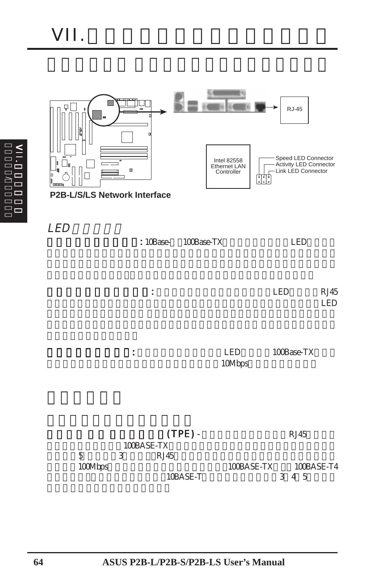/インストール



LED

|             |                         | : 10Base 100Base TX | <b>LED</b>                        |                    |
|-------------|-------------------------|---------------------|-----------------------------------|--------------------|
|             | $\ddot{\cdot}$          |                     | <b>LED</b>                        | RJ45<br><b>LED</b> |
|             | $\ddot{\cdot}$          | LED<br>10Mbps       | 100Base-TX                        |                    |
| $\mathbf 5$ | 100BASE-TX<br>3<br>RJ45 | $(TPE)$ -           | RJ45                              |                    |
| 100Mbps     |                         | 10BASE-T            | 100BASE-TX<br>100BASE-T4<br>3 4 5 |                    |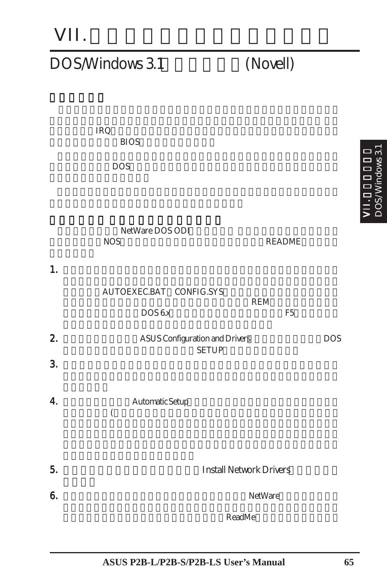## DOS/Windows 3.1 (Novell)

 $RQ$ **BIOS** 

 $DOS$ 

NetWare DOS ODI  $NOS$  README

| 1. |                                                |                                |            |
|----|------------------------------------------------|--------------------------------|------------|
|    | AUTOEXEC.BAT CONFIG.SYS                        | REM                            |            |
|    | DOS <sub>6x</sub>                              | F <sub>5</sub>                 |            |
| 2. | ASUS Configuration and Drivers<br><b>SETUP</b> |                                | <b>DOS</b> |
| 3. |                                                |                                |            |
| 4. | Automatic Setup<br>(                           |                                |            |
|    |                                                |                                |            |
| 5. |                                                | <b>Install Network Drivers</b> |            |
| 6. |                                                | NetWare                        |            |
|    |                                                | ReadMe                         |            |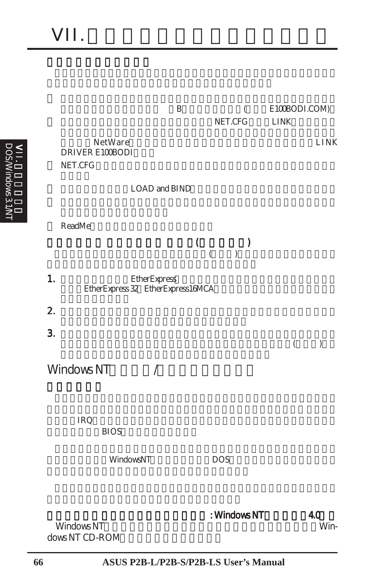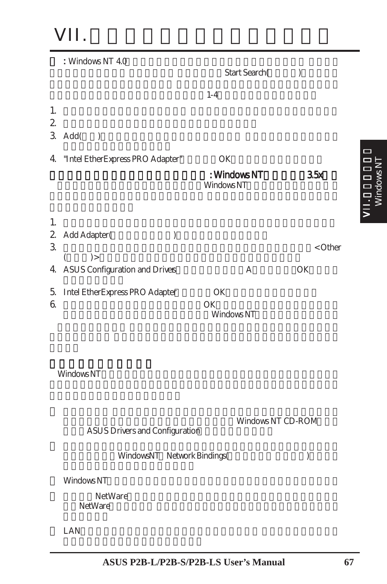|                    | : Windows $NT$ 40                  | Start Search(                    |         |
|--------------------|------------------------------------|----------------------------------|---------|
|                    |                                    | $1-4$                            |         |
| 1.<br>$\mathbf{z}$ |                                    |                                  |         |
| 3                  | Add(<br>$\lambda$                  |                                  |         |
|                    | 4 "Intel EtherExpress PRO Adapter" | OK<br>: Windows NT<br>Windows NT | 35x     |
| 1.                 |                                    |                                  |         |
| 3                  | 2 Add Adapter(<br>)                |                                  | < Other |
|                    | 4 ASUS Configuration and Drivers   | A                                | OK      |
| 5.<br>6            | Intel EtherExpress PRO Adapter     | OK<br><b>OK</b><br>Windows NT    |         |

Windows NT

Windows NT CD-ROM

ASUS Drivers and Configuration

WindowsNT Network Bindings( $($ 

Windows NT

NetWare NetWare

 $\text{LAN}$ 

VII.<br>Windows NT Windows NT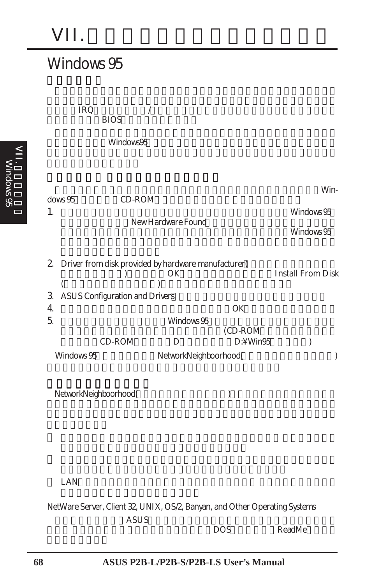IRQ メモリーアドレスは、コンピュータを起動するためには、コンピュータを起動するためには、コンピュータを起動するためには、コンピュータを起動するためには、コンピュータを起動するためには、コンピュータを起動するためには、<br>コンピュータを起動するためには、コンピュータを起動するためには、コンピュータを起動するためには、コンピュータを起動するためには、コンピュータを起動するためには、コンピュータを起動するためには、コンピュータを起動するため **BIOS** 

Windows95

|    | dows 95                                                                                 | $CD$ -ROM |                      |            |                          |
|----|-----------------------------------------------------------------------------------------|-----------|----------------------|------------|--------------------------|
| 1. |                                                                                         |           |                      |            | Windows 95               |
|    |                                                                                         |           | New Hardware Found   |            | Windows 95               |
| 3. | 2 Driver from disk provided by hardware manufacturer(<br>ASUS Configuration and Drivers |           | OK                   |            | <b>Install From Disk</b> |
| 4  |                                                                                         |           |                      | OK         |                          |
| 5  |                                                                                         |           | Windows 95           |            |                          |
|    |                                                                                         |           |                      | (CD-ROM    |                          |
|    | CD-ROM                                                                                  |           | D                    | $D:$ Win95 |                          |
|    | Windows 95                                                                              |           | NetworkNeighboorhood |            |                          |

 $N$ in- $N$ in- $N$ in-

NetworkNeighboorhood( $\qquad \qquad \qquad$ 

 $\text{LAN}$ 

NetWare Server, Client 32, UNIX, OS/2, Banyan, and Other Operating Systems  $ASUS$ DOS ReadMe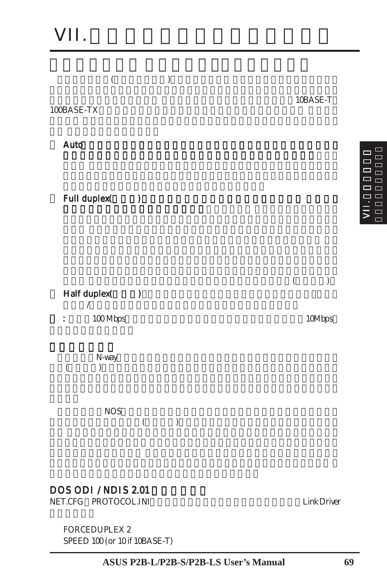|                      | $\big($                                                |         | $\mathcal{E}$ |  |         | 10BASE-T      |
|----------------------|--------------------------------------------------------|---------|---------------|--|---------|---------------|
| 100BASE-TX           |                                                        |         |               |  |         |               |
| Auto                 |                                                        |         |               |  |         |               |
|                      | Full duplex(<br>$\overline{\phantom{a}}$               |         |               |  |         |               |
|                      | Half duplex(<br>$\overline{\phantom{a}}$<br>$\sqrt{2}$ |         |               |  | $\big($ | $\mathcal{E}$ |
| $\ddot{\phantom{0}}$ | $100 \, \rm{Mbps}$                                     |         |               |  |         | 10Mbps        |
| $\big($              | N-way<br>$\mathcal{E}$                                 |         |               |  |         |               |
|                      | <b>NOS</b>                                             | $\big($ | $\big)$       |  |         |               |

### DOS ODI / NDIS 2.01

NET.CFG PROTOCOL.INI Link Driver

FORCEDUPLEX 2 SPEED 100 (or 10 if 10BASE-T) VII.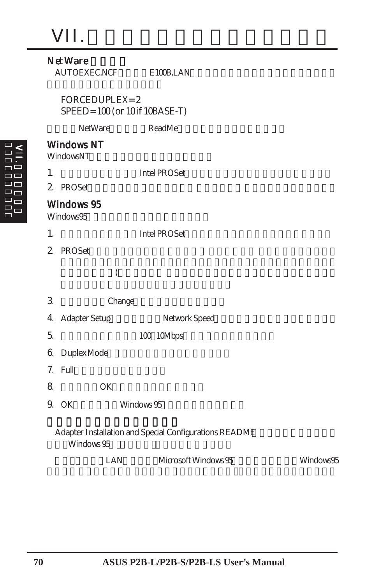VII.

|                      | <b>Net Ware</b><br>AUTOEXEC.NCF       | E100B.LAN                                              |           |
|----------------------|---------------------------------------|--------------------------------------------------------|-----------|
|                      | <b>FORCEDUPLEX=2</b>                  | SPEED= 100 (or 10if 10BASE-T)                          |           |
|                      | NetWare                               | ReadMe                                                 |           |
|                      | <b>Windows NT</b><br><b>WindowsNT</b> |                                                        |           |
| 1.<br>$\overline{c}$ | PROSet                                | <b>Intel PROSet</b>                                    |           |
|                      | Windows 95<br>Windows95               |                                                        |           |
| 1.                   |                                       | <b>Intel PROSet</b>                                    |           |
| 2                    | PROSet                                |                                                        |           |
|                      |                                       | $\overline{\phantom{a}}$                               |           |
| 3                    |                                       | Change                                                 |           |
| 4                    | <b>Adapter Setup</b>                  | Network Speed                                          |           |
| 5.                   |                                       | 100 10Mbps                                             |           |
| 6                    | <b>DuplexMode</b>                     |                                                        |           |
| 7.                   | Full                                  |                                                        |           |
| 8                    | <b>OK</b>                             |                                                        |           |
| 9.                   | OK                                    | Windows 95                                             |           |
|                      | Windows 95                            | Adapter Installation and Special Configurations README |           |
|                      | LAN                                   | Microsoft Windows 95                                   | Windows95 |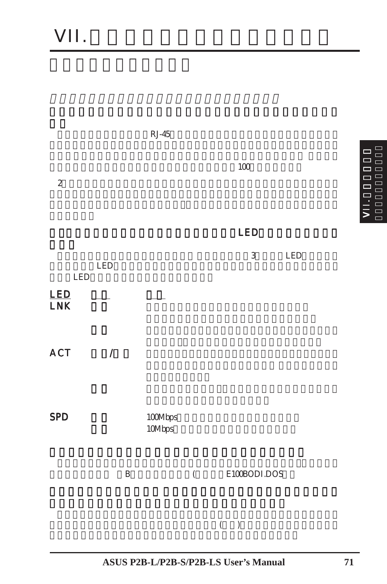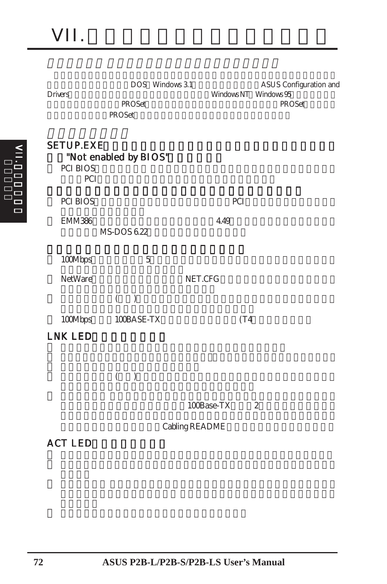| <b>Drivers</b>                      | PROSet<br>PROSet          | DOS Windows 31 | ASUS Configuration and<br>Windows NT Windows 95<br>PROSet |
|-------------------------------------|---------------------------|----------------|-----------------------------------------------------------|
| <b>SETUP.EXE</b><br>PCI BIOS<br>PCI | "Not enabled by BIOS"     |                |                                                           |
| PCI BIOS                            |                           | <b>PCI</b>     |                                                           |
| EMM386                              | $MS-DOS 622$              | 4.49           |                                                           |
| 100Mbps                             | 5                         |                |                                                           |
| NetWare                             |                           | NET.CFG        |                                                           |
|                                     | $\big)$<br>$\left($       |                |                                                           |
| 100Mbps                             | 100BASE-TX                |                | (T4)                                                      |
| <b>LNK LED</b>                      |                           |                |                                                           |
|                                     | $\left($<br>$\mathcal{E}$ |                |                                                           |
|                                     |                           | 100Base-TX     | $\overline{2}$                                            |
|                                     |                           | Cabling README |                                                           |
| <b>ACT LED</b>                      |                           |                |                                                           |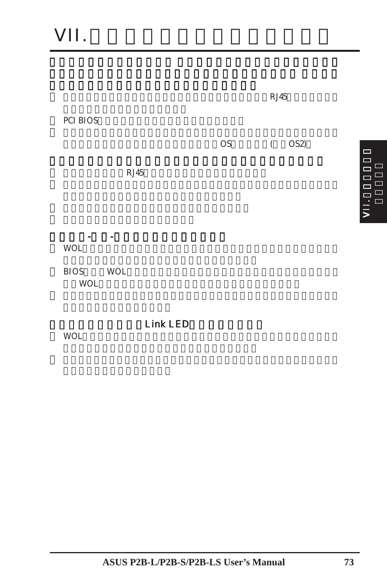|                                         |           | RJ45                        |
|-----------------------------------------|-----------|-----------------------------|
| PCI BIOS                                |           |                             |
|                                         | <b>OS</b> | OS <sub>2</sub><br>$\left($ |
| RJ45                                    |           |                             |
|                                         |           |                             |
|                                         |           |                             |
| $\rm WOL$                               |           |                             |
| <b>BIOS</b><br><b>WOL</b><br><b>WOL</b> |           |                             |

Link LED

WOL  $\mathbf{W}$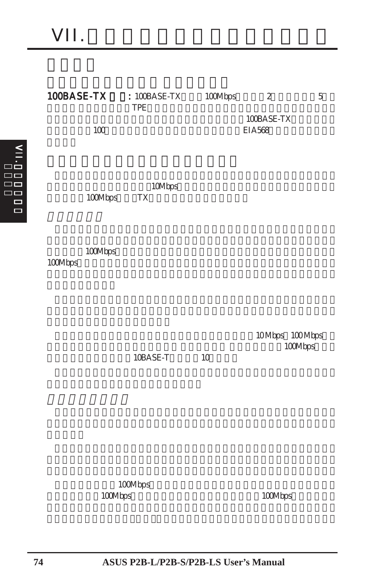| 100BASE-TX | $:100BASE-TX$<br>TPF. | 100Mbps | $\boldsymbol{2}$     | 5 |
|------------|-----------------------|---------|----------------------|---|
| 100        |                       |         | 100BASE-TX<br>EIA568 |   |

10Mbps 100Mbps TX

100Mbps

100Mbps

10 Mbps 100 Mbps 100Mbps

10BASE-T 10

100Mbps 100Mbps 100Mbps

VII.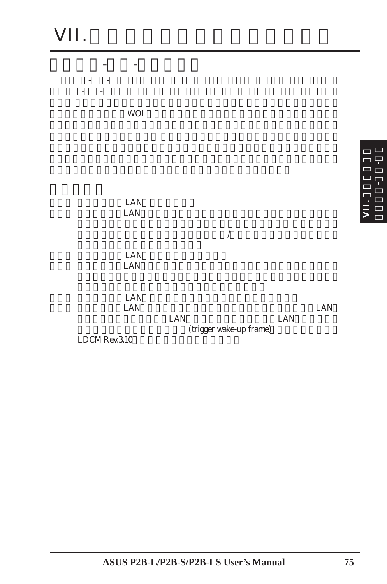VII.

| $\overline{\phantom{0}}$ |                                |                             |     |
|--------------------------|--------------------------------|-----------------------------|-----|
|                          |                                |                             |     |
|                          |                                |                             |     |
| <b>WOL</b>               |                                |                             |     |
|                          |                                |                             |     |
|                          |                                |                             |     |
|                          |                                |                             |     |
|                          |                                |                             |     |
|                          |                                |                             |     |
|                          |                                |                             |     |
| $\rm LAN$<br>$\rm LAN$   |                                |                             |     |
|                          |                                |                             |     |
|                          | $\overline{1}$                 |                             |     |
| LAN                      |                                |                             |     |
| $\rm LAN$                |                                |                             |     |
|                          |                                |                             |     |
| LAN                      |                                |                             |     |
| $\rm LAN$                |                                |                             | LAN |
|                          | LAN<br>(trigger wake-up frame) | $\ensuremath{\mathrm{LAN}}$ |     |
| LDCM Rev.310             |                                |                             |     |

VII.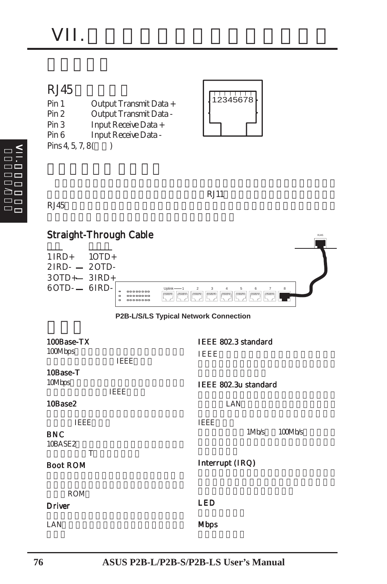# VII.

#### **RJ45**

| Pin <sub>1</sub> | Output Transmit Data + |
|------------------|------------------------|
| Pin 2            | Output Transmit Data - |
| Pin 3            | Input Receive Data +   |
| Pin 6            | Input Receive Data -   |
| Pins 4 5 7, 8    |                        |



RJ45

 $RJ11$ 

RJ45

#### Straight-Through Cable

| $1$ $\text{IRD}+$ | $I\cap TD_+$ |                                   |                                |                                |                      |                       |                    |                                    |                  |  |  |
|-------------------|--------------|-----------------------------------|--------------------------------|--------------------------------|----------------------|-----------------------|--------------------|------------------------------------|------------------|--|--|
| $2IRD - 2OTD -$   |              |                                   |                                |                                |                      |                       |                    |                                    |                  |  |  |
| $30TD + - 3IRD +$ |              |                                   |                                |                                |                      |                       |                    |                                    |                  |  |  |
| $60TD - 6IRD$     |              | $\circ$<br>$\Box$<br>$\mathbf{a}$ | 8888888<br>8888888<br>00000000 | Uplink $-1$<br><b>RESERVED</b> | <b>ESTATI ESTATI</b> | 3<br><b>RESIGNATI</b> | 4<br><b>REAGEN</b> | <b>REAGENT</b><br><b>RESIGNATI</b> | <b>RESIGNATI</b> |  |  |



| 100Base-TX<br>100Mbps                                        | <b>IEEE</b> | IEEE 802.3 standard<br><b>IEEE</b>      |         |  |
|--------------------------------------------------------------|-------------|-----------------------------------------|---------|--|
| 10Base-T<br>10Mbps                                           | <b>IEEE</b> | IEEE 802.3u standard                    |         |  |
| 10Base2                                                      |             | LAN                                     |         |  |
| <b>IEEE</b><br><b>BNC</b><br>10BASE2<br>T<br><b>Boot ROM</b> |             | <b>IEEE</b><br>1Mb/s<br>Interrupt (IRQ) | 100Mb/s |  |
| <b>ROM</b><br>Driver<br><b>LAN</b>                           |             | <b>LED</b><br><b>Mbps</b>               |         |  |

/用語集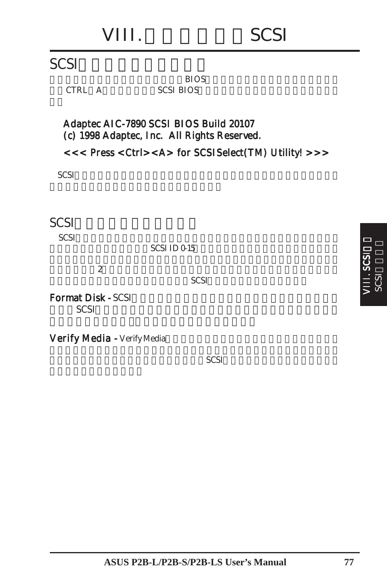#### SCSI

|                  | <b>BIOS</b>      |  |
|------------------|------------------|--|
| <b>CTRL</b><br>А | <b>SCSI BIOS</b> |  |

#### Adaptec AIC-7890 SCSI BIOS Build 20107 (c)  $1998$  Adaptec, Inc. All Rights Reserved.

<<< Press < Ctrl><A> for SCSISelect(TM) Utility! >>>

 $SCSI$ 

#### SCSI

SCSIディスクユーティリティオプションは、非ディスクドライブを含むバスの上

SCSI ID 0-15

 $\sim$  200  $\sim$  200  $\sim$  200  $\sim$  200  $\sim$  200  $\sim$  200  $\sim$  200  $\sim$  200  $\sim$  200  $\sim$  200  $\sim$  200  $\sim$  200  $\sim$  200  $\sim$  200  $\sim$  200  $\sim$  200  $\sim$  200  $\sim$  200  $\sim$  200  $\sim$  200  $\sim$  200  $\sim$  200  $\sim$  200  $\sim$  200  $\sim$ 

 $SCSI$ 

Format Disk - SCSI  $SCSI$ 

Verify Media - Verify Media

 $SCSI$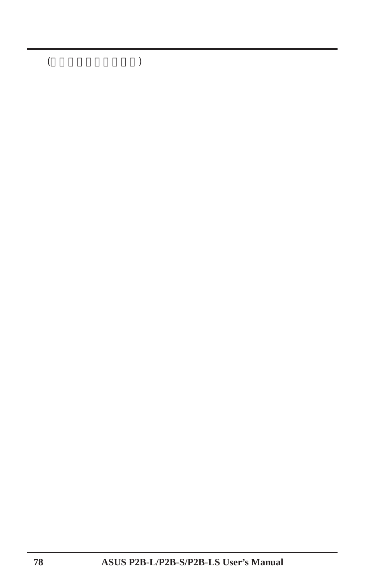$($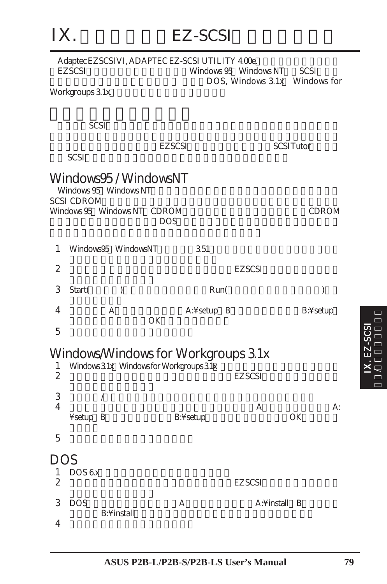# IX. EZ-SCSI

|                                | <b>EZSCSI</b>     |                                                                             |               | Adaptec EZSCSIVI, ADAPTEC EZ-SCSI UTILITY 400e. | Windows 95 Windows NT SCSI<br>DOS, Windows 3.1x Windows for |                            |               |
|--------------------------------|-------------------|-----------------------------------------------------------------------------|---------------|-------------------------------------------------|-------------------------------------------------------------|----------------------------|---------------|
|                                | Workgroups 31x    |                                                                             |               |                                                 |                                                             |                            |               |
|                                |                   | <b>SCSI</b>                                                                 |               |                                                 |                                                             |                            |               |
|                                | <b>SCSI</b>       |                                                                             | <b>EZSCSI</b> |                                                 |                                                             | <b>SCSITutor</b>           |               |
|                                | <b>SCSI CDROM</b> | Windows95/WindowsNT<br>Windows 95 Windows NT<br>Windows 95 Windows NT CDROM | <b>DOS</b>    |                                                 |                                                             |                            | CDROM         |
| $\mathbf{1}$                   |                   | Windows95 WindowsNT                                                         |               | 351                                             |                                                             |                            |               |
| $\overline{2}$                 |                   |                                                                             |               |                                                 | <b>EZSCSI</b>                                               |                            |               |
| 3                              | Start(            | $\mathcal{E}$                                                               |               | Run(                                            |                                                             |                            | $\mathcal{E}$ |
| 4                              |                   | A                                                                           | OK            | $A:\setminus$ setup $B$                         |                                                             | B:\setup                   |               |
| 5                              |                   |                                                                             |               |                                                 |                                                             |                            |               |
| $\mathbf{1}$<br>$\overline{2}$ |                   | Windows 31x Windows for Workgroups 31x                                      |               | Windows/Windows for Workgroups 3.1x             | <b>EZSCSI</b>                                               |                            |               |
| 3<br>4                         |                   | $\sqrt{2}$                                                                  |               |                                                 | A                                                           |                            | A:            |
|                                | \setup B          |                                                                             |               | B:\setup                                        |                                                             | OK                         |               |
| $\overline{5}$                 |                   |                                                                             |               |                                                 |                                                             |                            |               |
| DOS<br>1<br>$\overline{c}$     | DOS 6x            |                                                                             |               |                                                 | <b>EZSCSI</b>                                               |                            |               |
| 3                              | <b>DOS</b>        |                                                                             |               | A                                               |                                                             | $A:\mathbf{X}$ install $B$ |               |
| 4                              |                   | $B:\mathbb{R}^n$                                                            |               |                                                 |                                                             |                            |               |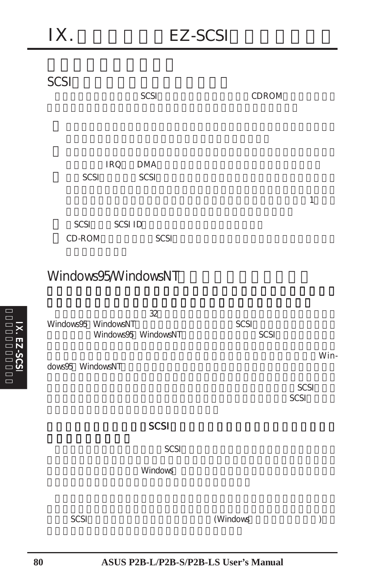SCSI

| <b>SCSI</b>                                      | CDROM                      |             |
|--------------------------------------------------|----------------------------|-------------|
| IRQ DMA<br><b>SCSI</b><br><b>SCSI</b>            |                            | $\,1\,$     |
| SCSI SCSI ID<br>$CD$ -ROM<br>SCSI                |                            |             |
| Windows95/WindowsNT                              |                            |             |
| 32<br>Windows95 WindowsNT<br>Windows95 WindowsNT | <b>SCSI</b><br><b>SCSI</b> |             |
| dows95 WindowsNT                                 |                            | Win-        |
|                                                  | <b>SCSI</b>                | <b>SCSI</b> |
| <b>SCSI</b>                                      |                            |             |
| <b>SCSI</b>                                      |                            |             |
| Windows                                          |                            |             |
| SCSI                                             | (Windows                   | )           |

**80 ASUS P2B-L/P2B-S/P2B-LS User's Manual**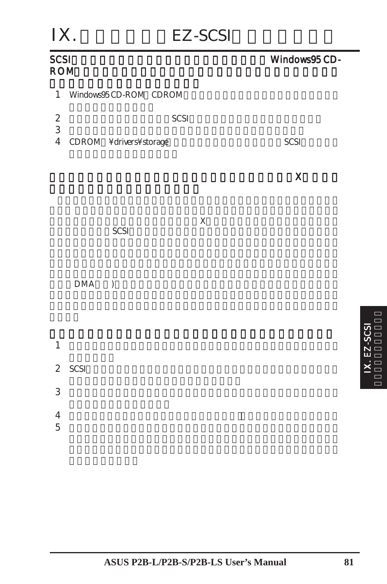# $ROM$

# SCSIチップセット名が表示されなかった場合には、 チップセット名が表示されなかった場合には、 チップセット名が表示されなかった場合には、 Windows95 CD-

- 1 Windows95 CD-ROM CDROM
- $2 \text{SCSI}$  $3$
- 4 CDROM \drivers\storage SCSI

 $\mathbf X$ 

 $X$  $\text{SCSI}$ 

 $DMA$ 

 $1$ 

- 2 SCSI
- $3$
- $4$
- $5$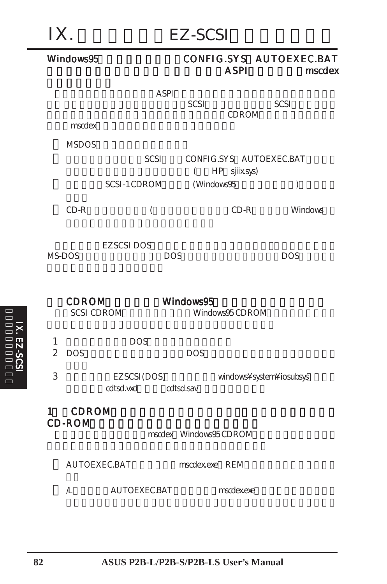## EZ-SCSI

| Windows95                         |                                 | <b>ASPI</b>                                         | CONFIG.SYS AUTOEXEC.BAT<br>mscdex |
|-----------------------------------|---------------------------------|-----------------------------------------------------|-----------------------------------|
|                                   | <b>ASPI</b>                     | <b>SCSI</b><br><b>CDROM</b>                         | <b>SCSI</b>                       |
| mscdex                            |                                 |                                                     |                                   |
| <b>MSDOS</b>                      |                                 |                                                     |                                   |
|                                   | <b>SCSI</b>                     | CONFIG.SYS AUTOEXEC.BAT<br>HP sjiixsys)<br>$\left($ |                                   |
|                                   | SCSI-1CDROM                     | (Windows95                                          | $\mathcal{E}$                     |
| $CD-R$                            | (                               | $CD-R$                                              | Windows                           |
| MS-DOS                            | <b>EZSCSI DOS</b><br><b>DOS</b> |                                                     | <b>DOS</b>                        |
| <b>CDROM</b><br><b>SCSI CDROM</b> |                                 | Windows95<br>Windows95CDROM                         |                                   |
| 1<br>$\overline{2}$<br><b>DOS</b> | <b>DOS</b>                      | <b>DOS</b>                                          |                                   |
| 3                                 | EZSCSI(DOS)<br>cdtsd.vxd        | cdtsd.sav                                           | windows\system\iosubsys           |
| <b>CDROM</b><br>1<br>CD-ROM       |                                 | mscdex Windows95CDROM                               |                                   |
| AUTOEXEC.BAT                      |                                 | mscdexexe REM                                       |                                   |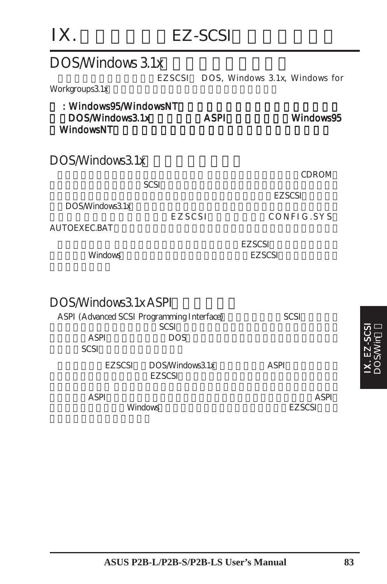| IX.                                                       | EZ-SCSI                         |                                |                                |  |  |  |
|-----------------------------------------------------------|---------------------------------|--------------------------------|--------------------------------|--|--|--|
| $DOS$ <i>N</i> $i$ ndows 3 1x                             |                                 |                                |                                |  |  |  |
|                                                           | EZSCSI                          |                                | DOS, Windows 3.1x, Windows for |  |  |  |
| Workgroups31x                                             |                                 |                                |                                |  |  |  |
| : Windows95/WindowsNT<br>DOS/Windows3.1x<br>WindowsNT     |                                 | <b>ASPI</b>                    | Windows95                      |  |  |  |
| DOS <i>N</i> indows 31x                                   |                                 |                                |                                |  |  |  |
|                                                           |                                 |                                | <b>CDROM</b>                   |  |  |  |
|                                                           | <b>SCSI</b>                     |                                | <b>EZSCSI</b>                  |  |  |  |
| DOS Mindows 3 1x                                          |                                 |                                |                                |  |  |  |
|                                                           | EZSCSI                          |                                | CONFIG.SYS                     |  |  |  |
| AUTOEXEC.BAT                                              |                                 |                                |                                |  |  |  |
| <b>Windows</b>                                            |                                 | <b>EZSCSI</b><br><b>EZSCSI</b> |                                |  |  |  |
|                                                           |                                 |                                |                                |  |  |  |
| DOS <i>Mindows</i> 3 1x ASPI                              |                                 |                                |                                |  |  |  |
| ASPI (Advanced SCSI Programming Interface)<br><b>SCSI</b> |                                 |                                | <b>SCSI</b>                    |  |  |  |
| <b>ASPI</b>                                               | <b>DOS</b>                      |                                |                                |  |  |  |
| <b>SCSI</b>                                               |                                 |                                |                                |  |  |  |
| <b>EZSCSI</b>                                             | DOS/Windows31x<br><b>EZSCSI</b> |                                | <b>ASPI</b>                    |  |  |  |

Windows<br>
EZSCSI

 $\Delta$ SPI $\Delta$ SPI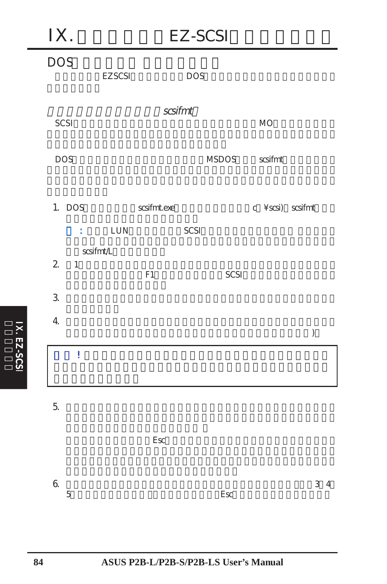| IX.                            | EZ-SCSI                                                                        |  |  |  |  |  |
|--------------------------------|--------------------------------------------------------------------------------|--|--|--|--|--|
| <b>DOS</b>                     | <b>DOS</b><br>EZSCSI                                                           |  |  |  |  |  |
| SCSI                           | scsifmt<br>$\rm MO$                                                            |  |  |  |  |  |
| <b>DOS</b>                     | <b>MSDOS</b><br>$s$ csif $m$ t                                                 |  |  |  |  |  |
|                                | 1. DOS scsifmt.exe<br>$c \ \ \sqrt{scsl}$ scsifmt                              |  |  |  |  |  |
| $\overline{2}$                 | $:$ LUN<br><b>SCSI</b><br>scsifmt/L<br>$\mathbf{1}$<br>$\rm F1$<br><b>SCSI</b> |  |  |  |  |  |
| $\sqrt{3}$                     |                                                                                |  |  |  |  |  |
| $\overline{4}$                 | $\big)$                                                                        |  |  |  |  |  |
|                                | Ţ                                                                              |  |  |  |  |  |
| $\overline{5}$                 |                                                                                |  |  |  |  |  |
|                                | $\mathop{\hbox{\rm Esc}}$                                                      |  |  |  |  |  |
| $\mathbf{g}$<br>$\overline{5}$ | 3 4<br>Esc                                                                     |  |  |  |  |  |

**84 ASUS P2B-L/P2B-S/P2B-LS User's Manual**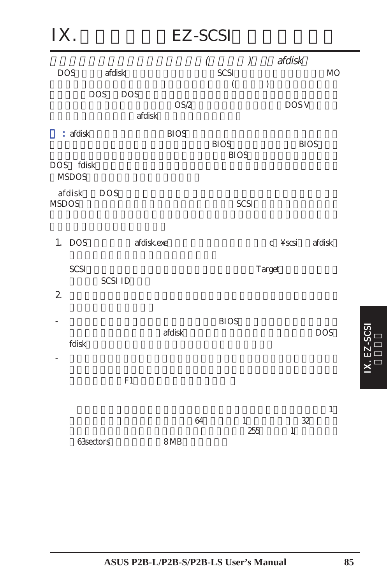| IX.                    | EZ-SCSI                            |                |                                                            |                                |  |
|------------------------|------------------------------------|----------------|------------------------------------------------------------|--------------------------------|--|
| <b>DOS</b>             | afdisk<br><b>DOS</b><br><b>DOS</b> |                | $\mathcal{L}$<br>$\left($<br><b>SCSI</b><br>$\overline{(}$ | afdisk<br><b>MO</b><br>$\big)$ |  |
|                        |                                    | OS/2<br>afdisk |                                                            | DOS V                          |  |
| : afdisk               |                                    | <b>BIOS</b>    | <b>BIOS</b><br><b>BIOS</b>                                 | <b>BIOS</b>                    |  |
| DOS<br><b>MSDOS</b>    | fdisk                              |                |                                                            |                                |  |
| afdisk<br><b>MSDOS</b> | <b>DOS</b>                         |                | <b>SCSI</b>                                                |                                |  |
| <b>DOS</b><br>1.       |                                    | afdisk.exe     |                                                            | afdisk<br>$C \setminus SCSi$   |  |
| <b>SCSI</b>            | <b>SCSI ID</b>                     |                |                                                            | Target                         |  |
| $\mathbf{z}$           |                                    |                |                                                            |                                |  |
|                        |                                    | afdisk         | <b>BIOS</b>                                                | <b>DOS</b>                     |  |
| fdisk                  |                                    |                |                                                            |                                |  |
|                        | F1                                 |                |                                                            |                                |  |
|                        |                                    | 64             | $\mathbf{1}$                                               | $\,1\,$<br>32                  |  |
|                        | 63sectors                          | 8MB            | 255                                                        | $\,1\,$                        |  |

IX. EZ-SCSI IX. EZ-SCSI